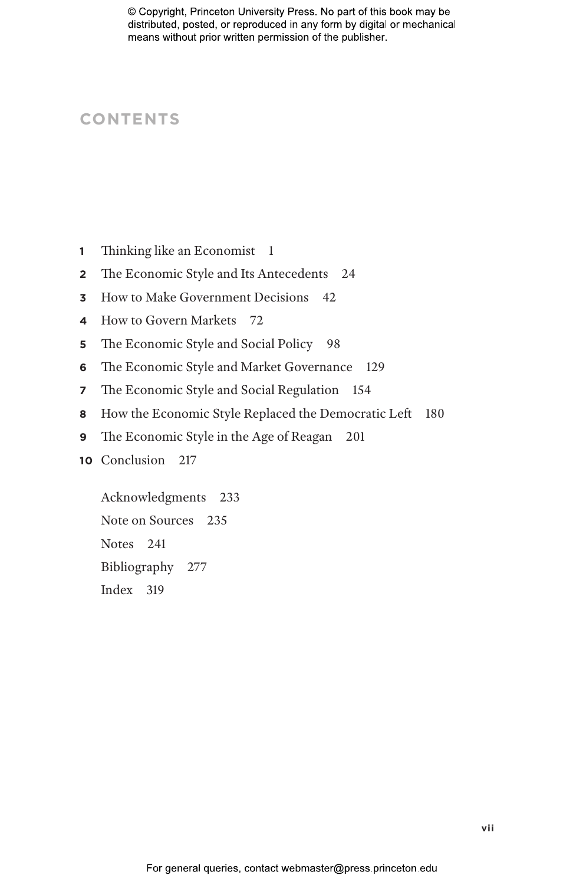# **CONTENTS**

- **1** Thinking like an Economist 1
- **2** The Economic Style and Its Antecedents 24
- **3** How to Make Government Decisions 42
- **4** How to Govern Markets 72
- **5** The Economic Style and Social Policy 98
- **6** The Economic Style and Market Governance 129
- **7** The Economic Style and Social Regulation 154
- **8** How the Economic Style Replaced the Democratic Left 180
- **9** The Economic Style in the Age of Reagan 201
- **10** Conclusion 217

Acknowledgments 233 Note on Sources 235 Notes 241 Bibliography 277 Index 319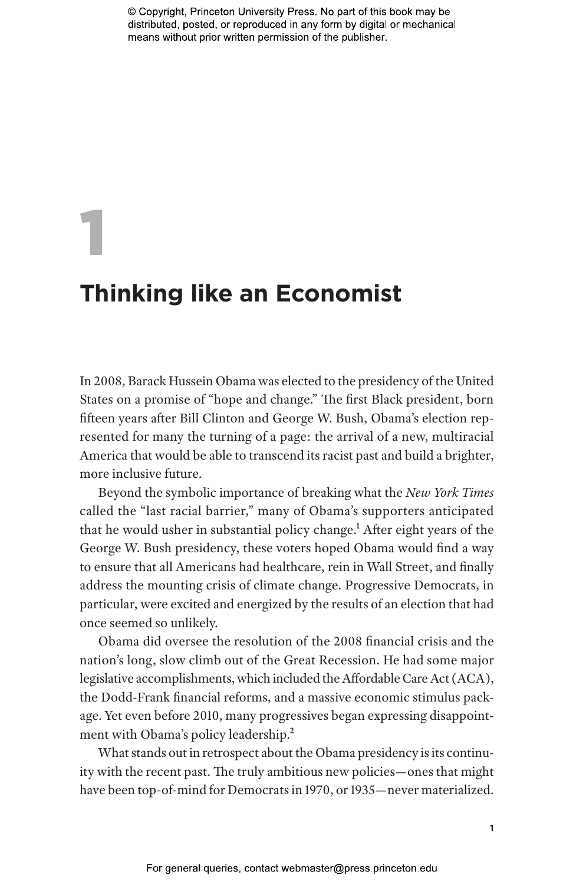# 1 **Thinking like an Economist**

In 2008, Barack Hussein Obama was elected to the presidency of the United States on a promise of "hope and change." The first Black president, born fifteen years after Bill Clinton and George W. Bush, Obama's election represented for many the turning of a page: the arrival of a new, multiracial America that would be able to transcend its racist past and build a brighter, more inclusive future.

Beyond the symbolic importance of breaking what the *New York Times* called the "last racial barrier," many of Obama's supporters anticipated that he would usher in substantial policy change.<sup>1</sup> After eight years of the George W. Bush presidency, these voters hoped Obama would find a way to ensure that all Americans had healthcare, rein in Wall Street, and finally address the mounting crisis of climate change. Progressive Democrats, in particular, were excited and energized by the results of an election that had once seemed so unlikely.

Obama did oversee the resolution of the 2008 financial crisis and the nation's long, slow climb out of the Great Recession. He had some major legislative accomplishments, which included the Affordable Care Act (ACA), the Dodd-Frank financial reforms, and a massive economic stimulus package. Yet even before 2010, many progressives began expressing disappointment with Obama's policy leadership.<sup>2</sup>

What stands out in retrospect about the Obama presidency is its continuity with the recent past. The truly ambitious new policies—ones that might have been top-of-mind for Democrats in 1970, or 1935—never materialized.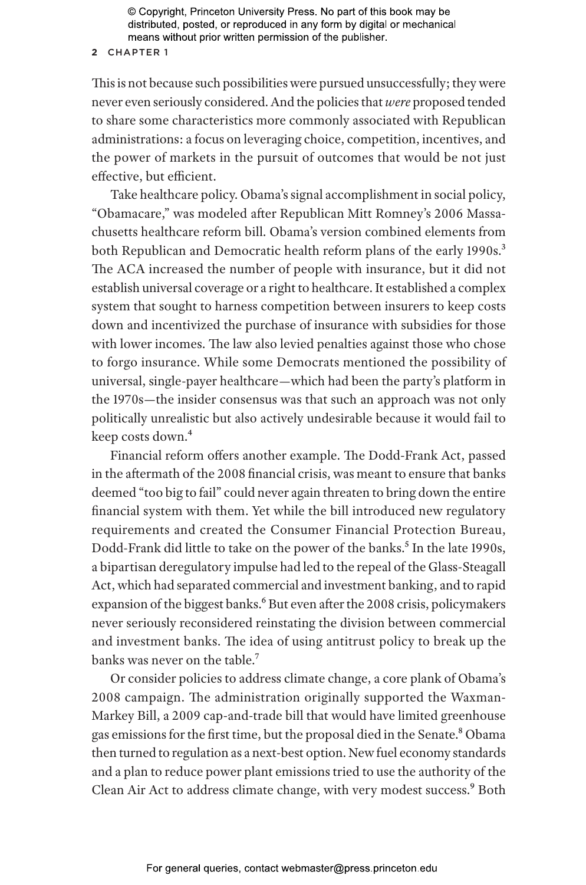#### **2** CHAPTER 1

This is not because such possibilities were pursued unsuccessfully; they were never even seriously considered. And the policies that *were* proposed tended to share some characteristics more commonly associated with Republican administrations: a focus on leveraging choice, competition, incentives, and the power of markets in the pursuit of outcomes that would be not just effective, but efficient.

Take healthcare policy. Obama's signal accomplishment in social policy, "Obamacare," was modeled after Republican Mitt Romney's 2006 Massachusetts healthcare reform bill. Obama's version combined elements from both Republican and Democratic health reform plans of the early 1990s.<sup>3</sup> The ACA increased the number of people with insurance, but it did not establish universal coverage or a right to healthcare. It established a complex system that sought to harness competition between insurers to keep costs down and incentivized the purchase of insurance with subsidies for those with lower incomes. The law also levied penalties against those who chose to forgo insurance. While some Democrats mentioned the possibility of universal, single-payer healthcare—which had been the party's platform in the 1970s—the insider consensus was that such an approach was not only politically unrealistic but also actively undesirable because it would fail to keep costs down.<sup>4</sup>

Financial reform offers another example. The Dodd-Frank Act, passed in the aftermath of the 2008 financial crisis, was meant to ensure that banks deemed "too big to fail" could never again threaten to bring down the entire financial system with them. Yet while the bill introduced new regulatory requirements and created the Consumer Financial Protection Bureau, Dodd-Frank did little to take on the power of the banks.<sup>5</sup> In the late 1990s, a bipartisan deregulatory impulse had led to the repeal of the Glass-Steagall Act, which had separated commercial and investment banking, and to rapid expansion of the biggest banks.<sup>6</sup> But even after the 2008 crisis, policymakers never seriously reconsidered reinstating the division between commercial and investment banks. The idea of using antitrust policy to break up the banks was never on the table.<sup>7</sup>

Or consider policies to address climate change, a core plank of Obama's 2008 campaign. The administration originally supported the Waxman-Markey Bill, a 2009 cap-and-trade bill that would have limited greenhouse gas emissions for the first time, but the proposal died in the Senate.<sup>8</sup> Obama then turned to regulation as a next-best option. New fuel economy standards and a plan to reduce power plant emissions tried to use the authority of the Clean Air Act to address climate change, with very modest success.<sup>9</sup> Both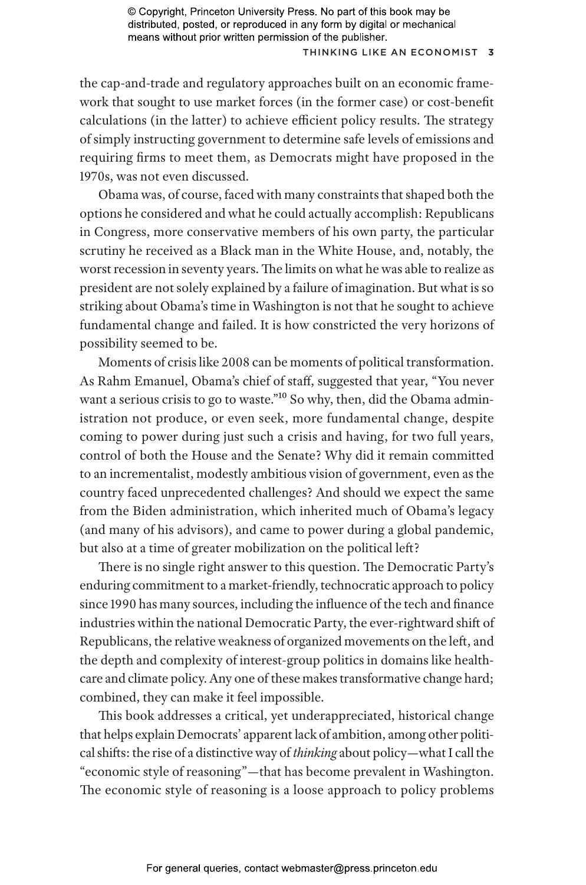# Thinking like an Economist **3**

the cap-and-trade and regulatory approaches built on an economic framework that sought to use market forces (in the former case) or cost-benefit calculations (in the latter) to achieve efficient policy results. The strategy of simply instructing government to determine safe levels of emissions and requiring firms to meet them, as Democrats might have proposed in the 1970s, was not even discussed.

Obama was, of course, faced with many constraints that shaped both the options he considered and what he could actually accomplish: Republicans in Congress, more conservative members of his own party, the particular scrutiny he received as a Black man in the White House, and, notably, the worst recession in seventy years. The limits on what he was able to realize as president are not solely explained by a failure of imagination. But what is so striking about Obama's time in Washington is not that he sought to achieve fundamental change and failed. It is how constricted the very horizons of possibility seemed to be.

Moments of crisis like 2008 can be moments of political transformation. As Rahm Emanuel, Obama's chief of staff, suggested that year, "You never want a serious crisis to go to waste."<sup>10</sup> So why, then, did the Obama administration not produce, or even seek, more fundamental change, despite coming to power during just such a crisis and having, for two full years, control of both the House and the Senate? Why did it remain committed to an incrementalist, modestly ambitious vision of government, even as the country faced unprecedented challenges? And should we expect the same from the Biden administration, which inherited much of Obama's legacy (and many of his advisors), and came to power during a global pandemic, but also at a time of greater mobilization on the political left?

There is no single right answer to this question. The Democratic Party's enduring commitment to a market-friendly, technocratic approach to policy since 1990 has many sources, including the influence of the tech and finance industries within the national Democratic Party, the ever-rightward shift of Republicans, the relative weakness of organized movements on the left, and the depth and complexity of interest-group politics in domains like healthcare and climate policy. Any one of these makes transformative change hard; combined, they can make it feel impossible.

This book addresses a critical, yet underappreciated, historical change that helps explain Democrats' apparent lack of ambition, among other political shifts: the rise of a distinctive way of *thinking* about policy—what I call the "economic style of reasoning"—that has become prevalent in Washington. The economic style of reasoning is a loose approach to policy problems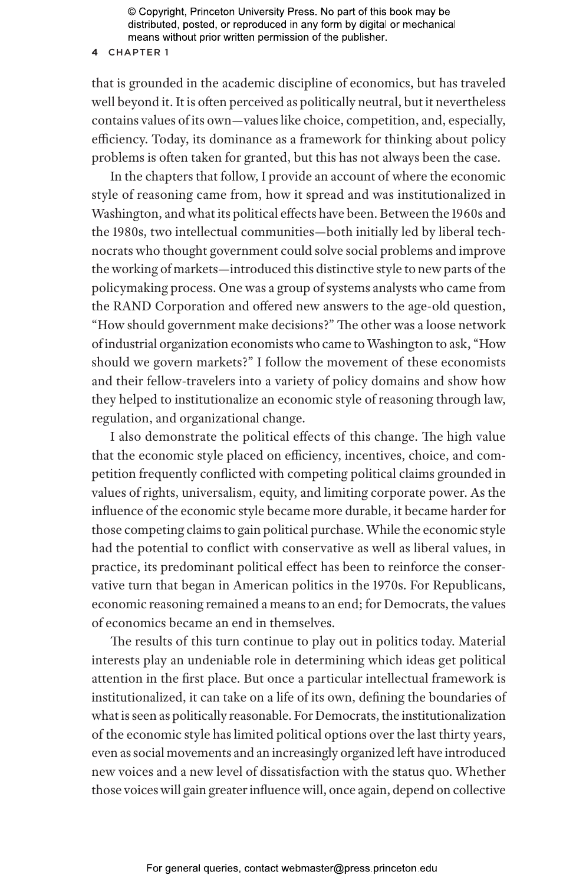#### **4** CHAPTER 1

that is grounded in the academic discipline of economics, but has traveled well beyond it. It is often perceived as politically neutral, but it nevertheless contains values of its own—values like choice, competition, and, especially, efficiency. Today, its dominance as a framework for thinking about policy problems is often taken for granted, but this has not always been the case.

In the chapters that follow, I provide an account of where the economic style of reasoning came from, how it spread and was institutionalized in Washington, and what its political effects have been. Between the 1960s and the 1980s, two intellectual communities—both initially led by liberal technocrats who thought government could solve social problems and improve the working of markets—introduced this distinctive style to new parts of the policymaking process. One was a group of systems analysts who came from the RAND Corporation and offered new answers to the age-old question, "How should government make decisions?" The other was a loose network of industrial organization economists who came to Washington to ask, "How should we govern markets?" I follow the movement of these economists and their fellow-travelers into a variety of policy domains and show how they helped to institutionalize an economic style of reasoning through law, regulation, and organizational change.

I also demonstrate the political effects of this change. The high value that the economic style placed on efficiency, incentives, choice, and competition frequently conflicted with competing political claims grounded in values of rights, universalism, equity, and limiting corporate power. As the influence of the economic style became more durable, it became harder for those competing claims to gain political purchase. While the economic style had the potential to conflict with conservative as well as liberal values, in practice, its predominant political effect has been to reinforce the conservative turn that began in American politics in the 1970s. For Republicans, economic reasoning remained a means to an end; for Democrats, the values of economics became an end in themselves.

The results of this turn continue to play out in politics today. Material interests play an undeniable role in determining which ideas get political attention in the first place. But once a particular intellectual framework is institutionalized, it can take on a life of its own, defining the boundaries of what is seen as politically reasonable. For Democrats, the institutionalization of the economic style has limited political options over the last thirty years, even as social movements and an increasingly organized left have introduced new voices and a new level of dissatisfaction with the status quo. Whether those voices will gain greater influence will, once again, depend on collective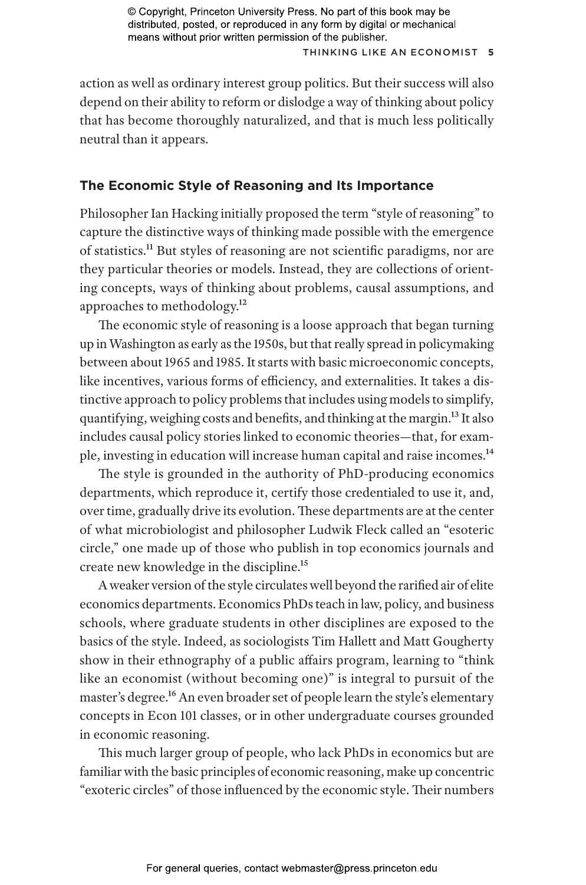Thinking like an Economist **5**

action as well as ordinary interest group politics. But their success will also depend on their ability to reform or dislodge a way of thinking about policy that has become thoroughly naturalized, and that is much less politically neutral than it appears.

# **The Economic Style of Reasoning and Its Importance**

Philosopher Ian Hacking initially proposed the term "style of reasoning" to capture the distinctive ways of thinking made possible with the emergence of statistics.11 But styles of reasoning are not scientific paradigms, nor are they particular theories or models. Instead, they are collections of orienting concepts, ways of thinking about problems, causal assumptions, and approaches to methodology.12

The economic style of reasoning is a loose approach that began turning up in Washington as early as the 1950s, but that really spread in policymaking between about 1965 and 1985. It starts with basic microeconomic concepts, like incentives, various forms of efficiency, and externalities. It takes a distinctive approach to policy problems that includes using models to simplify, quantifying, weighing costs and benefits, and thinking at the margin.<sup>13</sup> It also includes causal policy stories linked to economic theories—that, for example, investing in education will increase human capital and raise incomes.<sup>14</sup>

The style is grounded in the authority of PhD-producing economics departments, which reproduce it, certify those credentialed to use it, and, over time, gradually drive its evolution. These departments are at the center of what microbiologist and philosopher Ludwik Fleck called an "esoteric circle," one made up of those who publish in top economics journals and create new knowledge in the discipline.15

A weaker version of the style circulates well beyond the rarified air of elite economics departments. Economics PhDs teach in law, policy, and business schools, where graduate students in other disciplines are exposed to the basics of the style. Indeed, as sociologists Tim Hallett and Matt Gougherty show in their ethnography of a public affairs program, learning to "think like an economist (without becoming one)" is integral to pursuit of the master's degree.16 An even broader set of people learn the style's elementary concepts in Econ 101 classes, or in other undergraduate courses grounded in economic reasoning.

This much larger group of people, who lack PhDs in economics but are familiar with the basic principles of economic reasoning, make up concentric "exoteric circles" of those influenced by the economic style. Their numbers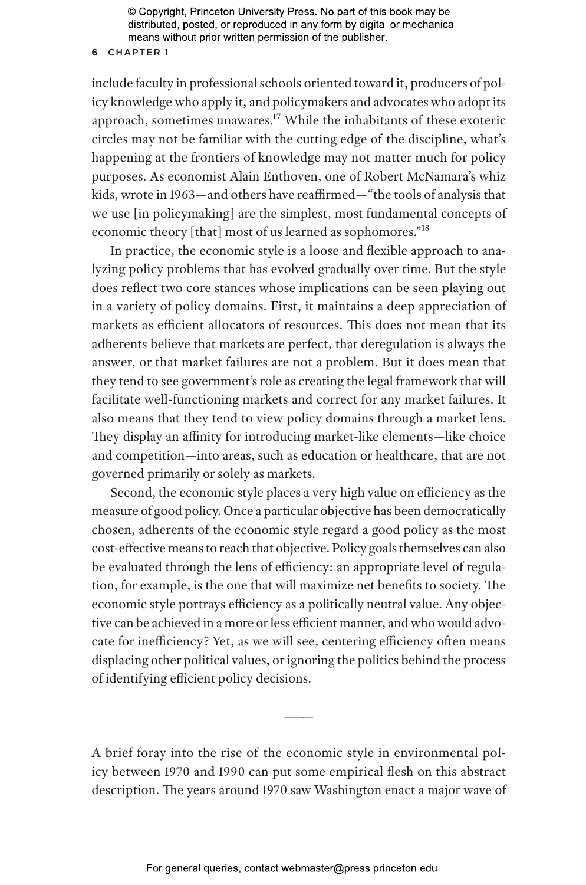#### **6** CHAPTER 1

include faculty in professional schools oriented toward it, producers of policy knowledge who apply it, and policymakers and advocates who adopt its approach, sometimes unawares.<sup>17</sup> While the inhabitants of these exoteric circles may not be familiar with the cutting edge of the discipline, what's happening at the frontiers of knowledge may not matter much for policy purposes. As economist Alain Enthoven, one of Robert McNamara's whiz kids, wrote in 1963—and others have reaffirmed—"the tools of analysis that we use [in policymaking] are the simplest, most fundamental concepts of economic theory [that] most of us learned as sophomores."18

In practice, the economic style is a loose and flexible approach to analyzing policy problems that has evolved gradually over time. But the style does reflect two core stances whose implications can be seen playing out in a variety of policy domains. First, it maintains a deep appreciation of markets as efficient allocators of resources. This does not mean that its adherents believe that markets are perfect, that deregulation is always the answer, or that market failures are not a problem. But it does mean that they tend to see government's role as creating the legal framework that will facilitate well-functioning markets and correct for any market failures. It also means that they tend to view policy domains through a market lens. They display an affinity for introducing market-like elements—like choice and competition—into areas, such as education or healthcare, that are not governed primarily or solely as markets.

Second, the economic style places a very high value on efficiency as the measure of good policy. Once a particular objective has been democratically chosen, adherents of the economic style regard a good policy as the most cost-effective means to reach that objective. Policy goals themselves can also be evaluated through the lens of efficiency: an appropriate level of regulation, for example, is the one that will maximize net benefits to society. The economic style portrays efficiency as a politically neutral value. Any objective can be achieved in a more or less efficient manner, and who would advocate for inefficiency? Yet, as we will see, centering efficiency often means displacing other political values, or ignoring the politics behind the process of identifying efficient policy decisions.

A brief foray into the rise of the economic style in environmental policy between 1970 and 1990 can put some empirical flesh on this abstract description. The years around 1970 saw Washington enact a major wave of

———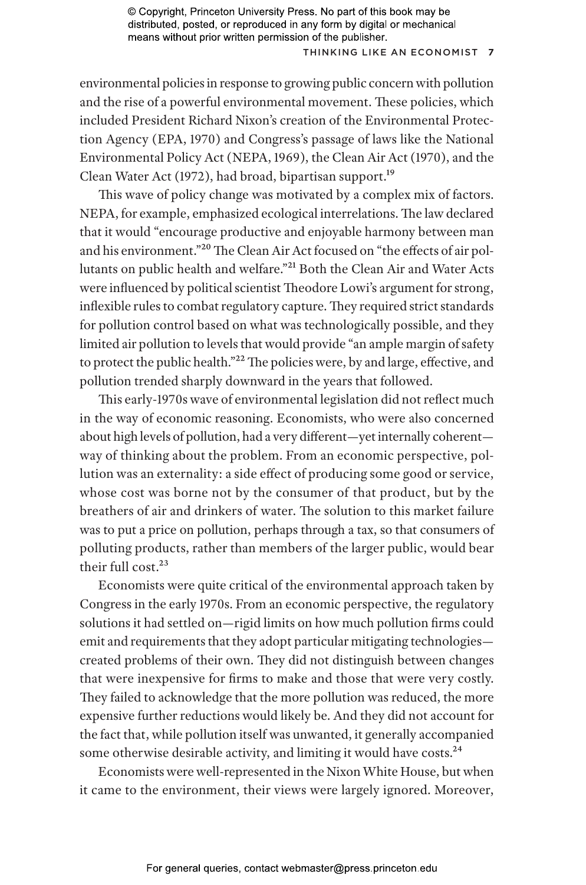# Thinking like an Economist **7**

environmental policies in response to growing public concern with pollution and the rise of a powerful environmental movement. These policies, which included President Richard Nixon's creation of the Environmental Protection Agency (EPA, 1970) and Congress's passage of laws like the National Environmental Policy Act (NEPA, 1969), the Clean Air Act (1970), and the Clean Water Act (1972), had broad, bipartisan support.<sup>19</sup>

This wave of policy change was motivated by a complex mix of factors. NEPA, for example, emphasized ecological interrelations. The law declared that it would "encourage productive and enjoyable harmony between man and his environment."20 The Clean Air Act focused on "the effects of air pollutants on public health and welfare."21 Both the Clean Air and Water Acts were influenced by political scientist Theodore Lowi's argument for strong, inflexible rules to combat regulatory capture. They required strict standards for pollution control based on what was technologically possible, and they limited air pollution to levels that would provide "an ample margin of safety to protect the public health."22 The policies were, by and large, effective, and pollution trended sharply downward in the years that followed.

This early-1970s wave of environmental legislation did not reflect much in the way of economic reasoning. Economists, who were also concerned about high levels of pollution, had a very different—yet internally coherent way of thinking about the problem. From an economic perspective, pollution was an externality: a side effect of producing some good or service, whose cost was borne not by the consumer of that product, but by the breathers of air and drinkers of water. The solution to this market failure was to put a price on pollution, perhaps through a tax, so that consumers of polluting products, rather than members of the larger public, would bear their full cost.23

Economists were quite critical of the environmental approach taken by Congress in the early 1970s. From an economic perspective, the regulatory solutions it had settled on—rigid limits on how much pollution firms could emit and requirements that they adopt particular mitigating technologies created problems of their own. They did not distinguish between changes that were inexpensive for firms to make and those that were very costly. They failed to acknowledge that the more pollution was reduced, the more expensive further reductions would likely be. And they did not account for the fact that, while pollution itself was unwanted, it generally accompanied some otherwise desirable activity, and limiting it would have costs.<sup>24</sup>

Economists were well-represented in the Nixon White House, but when it came to the environment, their views were largely ignored. Moreover,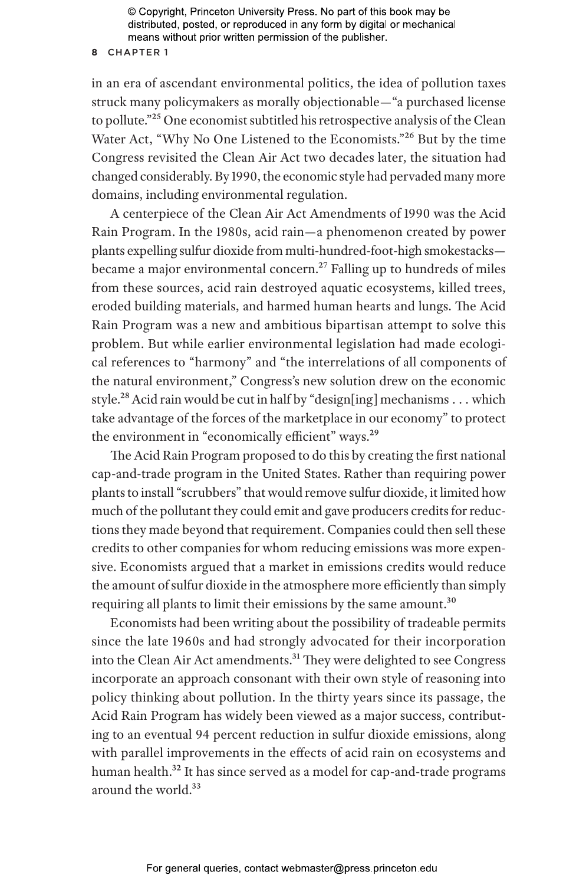#### **8** CHAPTER 1

in an era of ascendant environmental politics, the idea of pollution taxes struck many policymakers as morally objectionable—"a purchased license to pollute."25 One economist subtitled his retrospective analysis of the Clean Water Act, "Why No One Listened to the Economists."<sup>26</sup> But by the time Congress revisited the Clean Air Act two decades later, the situation had changed considerably. By 1990, the economic style had pervaded many more domains, including environmental regulation.

A centerpiece of the Clean Air Act Amendments of 1990 was the Acid Rain Program. In the 1980s, acid rain—a phenomenon created by power plants expelling sulfur dioxide from multi-hundred-foot-high smokestacks became a major environmental concern.<sup>27</sup> Falling up to hundreds of miles from these sources, acid rain destroyed aquatic ecosystems, killed trees, eroded building materials, and harmed human hearts and lungs. The Acid Rain Program was a new and ambitious bipartisan attempt to solve this problem. But while earlier environmental legislation had made ecological references to "harmony" and "the interrelations of all components of the natural environment," Congress's new solution drew on the economic style.<sup>28</sup> Acid rain would be cut in half by "design[ing] mechanisms . . . which take advantage of the forces of the marketplace in our economy" to protect the environment in "economically efficient" ways.<sup>29</sup>

The Acid Rain Program proposed to do this by creating the first national cap-and-trade program in the United States. Rather than requiring power plants to install "scrubbers" that would remove sulfur dioxide, it limited how much of the pollutant they could emit and gave producers credits for reductions they made beyond that requirement. Companies could then sell these credits to other companies for whom reducing emissions was more expensive. Economists argued that a market in emissions credits would reduce the amount of sulfur dioxide in the atmosphere more efficiently than simply requiring all plants to limit their emissions by the same amount.<sup>30</sup>

Economists had been writing about the possibility of tradeable permits since the late 1960s and had strongly advocated for their incorporation into the Clean Air Act amendments.<sup>31</sup> They were delighted to see Congress incorporate an approach consonant with their own style of reasoning into policy thinking about pollution. In the thirty years since its passage, the Acid Rain Program has widely been viewed as a major success, contributing to an eventual 94 percent reduction in sulfur dioxide emissions, along with parallel improvements in the effects of acid rain on ecosystems and human health.<sup>32</sup> It has since served as a model for cap-and-trade programs around the world.33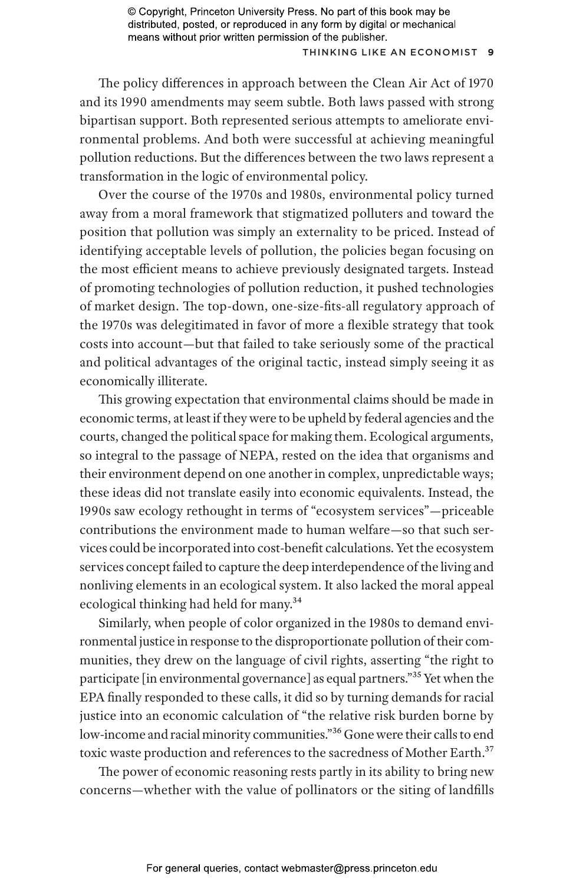# Thinking like an Economist **9**

The policy differences in approach between the Clean Air Act of 1970 and its 1990 amendments may seem subtle. Both laws passed with strong bipartisan support. Both represented serious attempts to ameliorate environmental problems. And both were successful at achieving meaningful pollution reductions. But the differences between the two laws represent a transformation in the logic of environmental policy.

Over the course of the 1970s and 1980s, environmental policy turned away from a moral framework that stigmatized polluters and toward the position that pollution was simply an externality to be priced. Instead of identifying acceptable levels of pollution, the policies began focusing on the most efficient means to achieve previously designated targets. Instead of promoting technologies of pollution reduction, it pushed technologies of market design. The top-down, one-size-fits-all regulatory approach of the 1970s was delegitimated in favor of more a flexible strategy that took costs into account—but that failed to take seriously some of the practical and political advantages of the original tactic, instead simply seeing it as economically illiterate.

This growing expectation that environmental claims should be made in economic terms, at least if they were to be upheld by federal agencies and the courts, changed the political space for making them. Ecological arguments, so integral to the passage of NEPA, rested on the idea that organisms and their environment depend on one another in complex, unpredictable ways; these ideas did not translate easily into economic equivalents. Instead, the 1990s saw ecology rethought in terms of "ecosystem services"—priceable contributions the environment made to human welfare—so that such services could be incorporated into cost-benefit calculations. Yet the ecosystem services concept failed to capture the deep interdependence of the living and nonliving elements in an ecological system. It also lacked the moral appeal ecological thinking had held for many.34

Similarly, when people of color organized in the 1980s to demand environmental justice in response to the disproportionate pollution of their communities, they drew on the language of civil rights, asserting "the right to participate [in environmental governance] as equal partners."35 Yet when the EPA finally responded to these calls, it did so by turning demands for racial justice into an economic calculation of "the relative risk burden borne by low-income and racial minority communities."<sup>36</sup> Gone were their calls to end toxic waste production and references to the sacredness of Mother Earth.<sup>37</sup>

The power of economic reasoning rests partly in its ability to bring new concerns—whether with the value of pollinators or the siting of landfills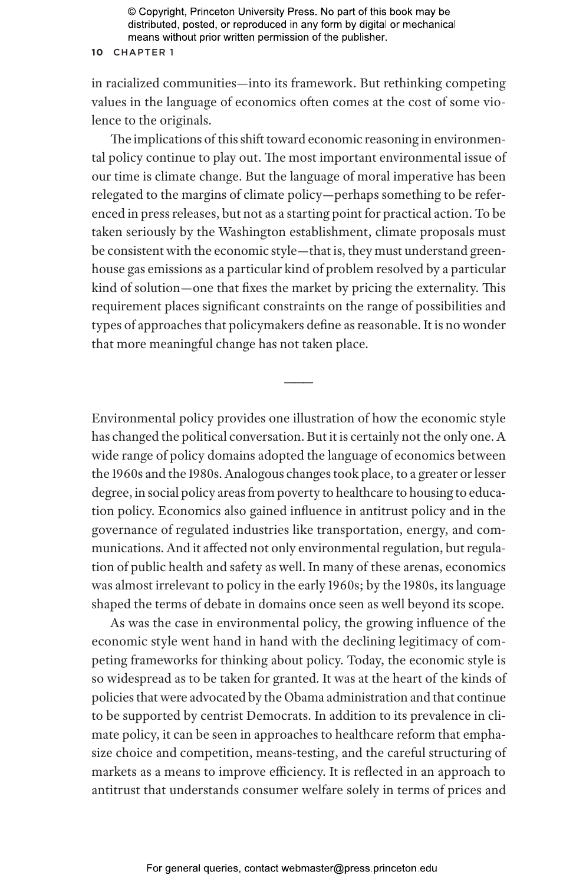# **10** CHAPTER 1

in racialized communities—into its framework. But rethinking competing values in the language of economics often comes at the cost of some violence to the originals.

The implications of this shift toward economic reasoning in environmental policy continue to play out. The most important environmental issue of our time is climate change. But the language of moral imperative has been relegated to the margins of climate policy—perhaps something to be referenced in press releases, but not as a starting point for practical action. To be taken seriously by the Washington establishment, climate proposals must be consistent with the economic style—that is, they must understand greenhouse gas emissions as a particular kind of problem resolved by a particular kind of solution—one that fixes the market by pricing the externality. This requirement places significant constraints on the range of possibilities and types of approaches that policymakers define as reasonable. It is no wonder that more meaningful change has not taken place.

Environmental policy provides one illustration of how the economic style has changed the political conversation. But it is certainly not the only one. A wide range of policy domains adopted the language of economics between the 1960s and the 1980s. Analogous changes took place, to a greater or lesser degree, in social policy areas from poverty to healthcare to housing to education policy. Economics also gained influence in antitrust policy and in the governance of regulated industries like transportation, energy, and communications. And it affected not only environmental regulation, but regulation of public health and safety as well. In many of these arenas, economics was almost irrelevant to policy in the early 1960s; by the 1980s, its language shaped the terms of debate in domains once seen as well beyond its scope.

———

As was the case in environmental policy, the growing influence of the economic style went hand in hand with the declining legitimacy of competing frameworks for thinking about policy. Today, the economic style is so widespread as to be taken for granted. It was at the heart of the kinds of policies that were advocated by the Obama administration and that continue to be supported by centrist Democrats. In addition to its prevalence in climate policy, it can be seen in approaches to healthcare reform that emphasize choice and competition, means-testing, and the careful structuring of markets as a means to improve efficiency. It is reflected in an approach to antitrust that understands consumer welfare solely in terms of prices and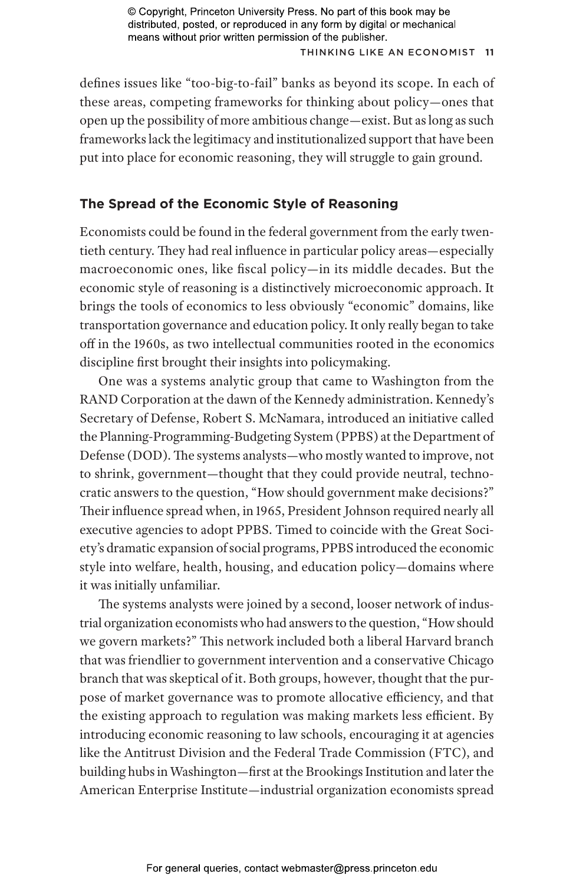# Thinking like an Economist **11**

defines issues like "too-big-to-fail" banks as beyond its scope. In each of these areas, competing frameworks for thinking about policy—ones that open up the possibility of more ambitious change—exist. But as long as such frameworks lack the legitimacy and institutionalized support that have been put into place for economic reasoning, they will struggle to gain ground.

# **The Spread of the Economic Style of Reasoning**

Economists could be found in the federal government from the early twentieth century. They had real influence in particular policy areas—especially macroeconomic ones, like fiscal policy—in its middle decades. But the economic style of reasoning is a distinctively microeconomic approach. It brings the tools of economics to less obviously "economic" domains, like transportation governance and education policy. It only really began to take off in the 1960s, as two intellectual communities rooted in the economics discipline first brought their insights into policymaking.

One was a systems analytic group that came to Washington from the RAND Corporation at the dawn of the Kennedy administration. Kennedy's Secretary of Defense, Robert S. McNamara, introduced an initiative called the Planning-Programming-Budgeting System (PPBS) at the Department of Defense (DOD). The systems analysts—who mostly wanted to improve, not to shrink, government—thought that they could provide neutral, technocratic answers to the question, "How should government make decisions?" Their influence spread when, in 1965, President Johnson required nearly all executive agencies to adopt PPBS. Timed to coincide with the Great Society's dramatic expansion of social programs, PPBS introduced the economic style into welfare, health, housing, and education policy—domains where it was initially unfamiliar.

The systems analysts were joined by a second, looser network of industrial organization economists who had answers to the question, "How should we govern markets?" This network included both a liberal Harvard branch that was friendlier to government intervention and a conservative Chicago branch that was skeptical of it. Both groups, however, thought that the purpose of market governance was to promote allocative efficiency, and that the existing approach to regulation was making markets less efficient. By introducing economic reasoning to law schools, encouraging it at agencies like the Antitrust Division and the Federal Trade Commission (FTC), and building hubs in Washington—first at the Brookings Institution and later the American Enterprise Institute—industrial organization economists spread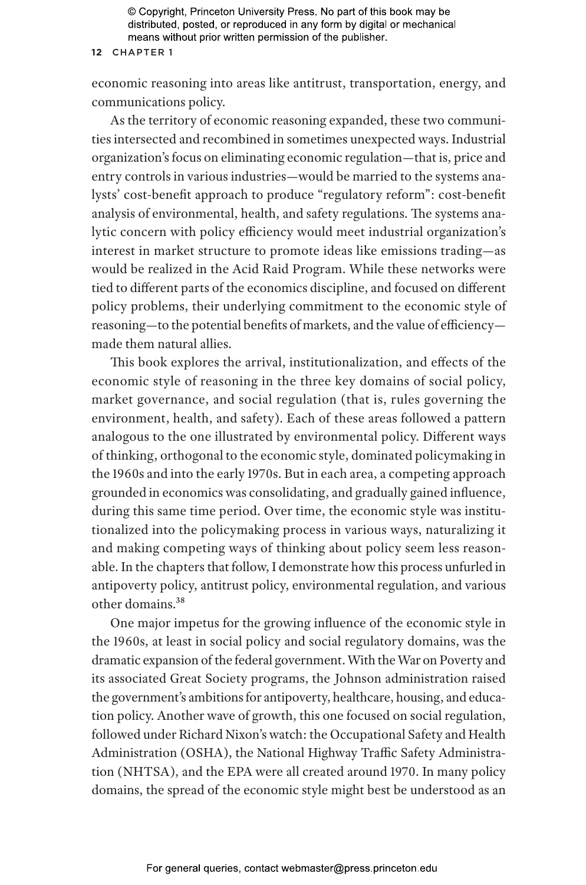#### **12** CHAPTER 1

economic reasoning into areas like antitrust, transportation, energy, and communications policy.

As the territory of economic reasoning expanded, these two communities intersected and recombined in sometimes unexpected ways. Industrial organization's focus on eliminating economic regulation—that is, price and entry controls in various industries—would be married to the systems analysts' cost-benefit approach to produce "regulatory reform": cost-benefit analysis of environmental, health, and safety regulations. The systems analytic concern with policy efficiency would meet industrial organization's interest in market structure to promote ideas like emissions trading—as would be realized in the Acid Raid Program. While these networks were tied to different parts of the economics discipline, and focused on different policy problems, their underlying commitment to the economic style of reasoning—to the potential benefits of markets, and the value of efficiency made them natural allies.

This book explores the arrival, institutionalization, and effects of the economic style of reasoning in the three key domains of social policy, market governance, and social regulation (that is, rules governing the environment, health, and safety). Each of these areas followed a pattern analogous to the one illustrated by environmental policy. Different ways of thinking, orthogonal to the economic style, dominated policymaking in the 1960s and into the early 1970s. But in each area, a competing approach grounded in economics was consolidating, and gradually gained influence, during this same time period. Over time, the economic style was institutionalized into the policymaking process in various ways, naturalizing it and making competing ways of thinking about policy seem less reasonable. In the chapters that follow, I demonstrate how this process unfurled in antipoverty policy, antitrust policy, environmental regulation, and various other domains.<sup>38</sup>

One major impetus for the growing influence of the economic style in the 1960s, at least in social policy and social regulatory domains, was the dramatic expansion of the federal government. With the War on Poverty and its associated Great Society programs, the Johnson administration raised the government's ambitions for antipoverty, healthcare, housing, and education policy. Another wave of growth, this one focused on social regulation, followed under Richard Nixon's watch: the Occupational Safety and Health Administration (OSHA), the National Highway Traffic Safety Administration (NHTSA), and the EPA were all created around 1970. In many policy domains, the spread of the economic style might best be understood as an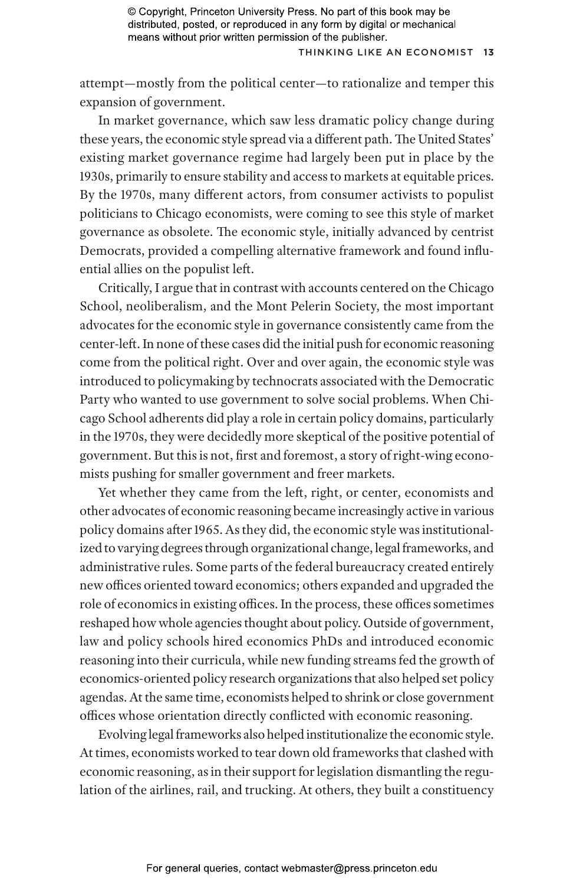# Thinking like an Economist **13**

attempt—mostly from the political center—to rationalize and temper this expansion of government.

In market governance, which saw less dramatic policy change during these years, the economic style spread via a different path. The United States' existing market governance regime had largely been put in place by the 1930s, primarily to ensure stability and access to markets at equitable prices. By the 1970s, many different actors, from consumer activists to populist politicians to Chicago economists, were coming to see this style of market governance as obsolete. The economic style, initially advanced by centrist Democrats, provided a compelling alternative framework and found influential allies on the populist left.

Critically, I argue that in contrast with accounts centered on the Chicago School, neoliberalism, and the Mont Pelerin Society, the most important advocates for the economic style in governance consistently came from the center-left. In none of these cases did the initial push for economic reasoning come from the political right. Over and over again, the economic style was introduced to policymaking by technocrats associated with the Democratic Party who wanted to use government to solve social problems. When Chicago School adherents did play a role in certain policy domains, particularly in the 1970s, they were decidedly more skeptical of the positive potential of government. But this is not, first and foremost, a story of right-wing economists pushing for smaller government and freer markets.

Yet whether they came from the left, right, or center, economists and other advocates of economic reasoning became increasingly active in various policy domains after 1965. As they did, the economic style was institutionalized to varying degrees through organizational change, legal frameworks, and administrative rules. Some parts of the federal bureaucracy created entirely new offices oriented toward economics; others expanded and upgraded the role of economics in existing offices. In the process, these offices sometimes reshaped how whole agencies thought about policy. Outside of government, law and policy schools hired economics PhDs and introduced economic reasoning into their curricula, while new funding streams fed the growth of economics-oriented policy research organizations that also helped set policy agendas. At the same time, economists helped to shrink or close government offices whose orientation directly conflicted with economic reasoning.

Evolving legal frameworks also helped institutionalize the economic style. At times, economists worked to tear down old frameworks that clashed with economic reasoning, as in their support for legislation dismantling the regulation of the airlines, rail, and trucking. At others, they built a constituency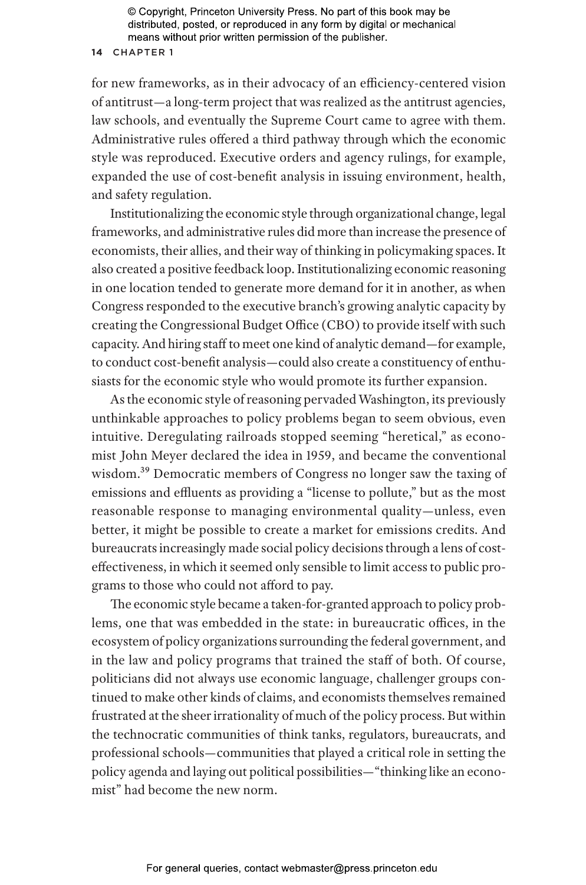# **14** CHAPTER 1

for new frameworks, as in their advocacy of an efficiency-centered vision of antitrust—a long-term project that was realized as the antitrust agencies, law schools, and eventually the Supreme Court came to agree with them. Administrative rules offered a third pathway through which the economic style was reproduced. Executive orders and agency rulings, for example, expanded the use of cost-benefit analysis in issuing environment, health, and safety regulation.

Institutionalizing the economic style through organizational change, legal frameworks, and administrative rules did more than increase the presence of economists, their allies, and their way of thinking in policymaking spaces. It also created a positive feedback loop. Institutionalizing economic reasoning in one location tended to generate more demand for it in another, as when Congress responded to the executive branch's growing analytic capacity by creating the Congressional Budget Office (CBO) to provide itself with such capacity. And hiring staff to meet one kind of analytic demand—for example, to conduct cost-benefit analysis—could also create a constituency of enthusiasts for the economic style who would promote its further expansion.

As the economic style of reasoning pervaded Washington, its previously unthinkable approaches to policy problems began to seem obvious, even intuitive. Deregulating railroads stopped seeming "heretical," as economist John Meyer declared the idea in 1959, and became the conventional wisdom.<sup>39</sup> Democratic members of Congress no longer saw the taxing of emissions and effluents as providing a "license to pollute," but as the most reasonable response to managing environmental quality—unless, even better, it might be possible to create a market for emissions credits. And bureaucrats increasingly made social policy decisions through a lens of costeffectiveness, in which it seemed only sensible to limit access to public programs to those who could not afford to pay.

The economic style became a taken-for-granted approach to policy problems, one that was embedded in the state: in bureaucratic offices, in the ecosystem of policy organizations surrounding the federal government, and in the law and policy programs that trained the staff of both. Of course, politicians did not always use economic language, challenger groups continued to make other kinds of claims, and economists themselves remained frustrated at the sheer irrationality of much of the policy process. But within the technocratic communities of think tanks, regulators, bureaucrats, and professional schools—communities that played a critical role in setting the policy agenda and laying out political possibilities—"thinking like an economist" had become the new norm.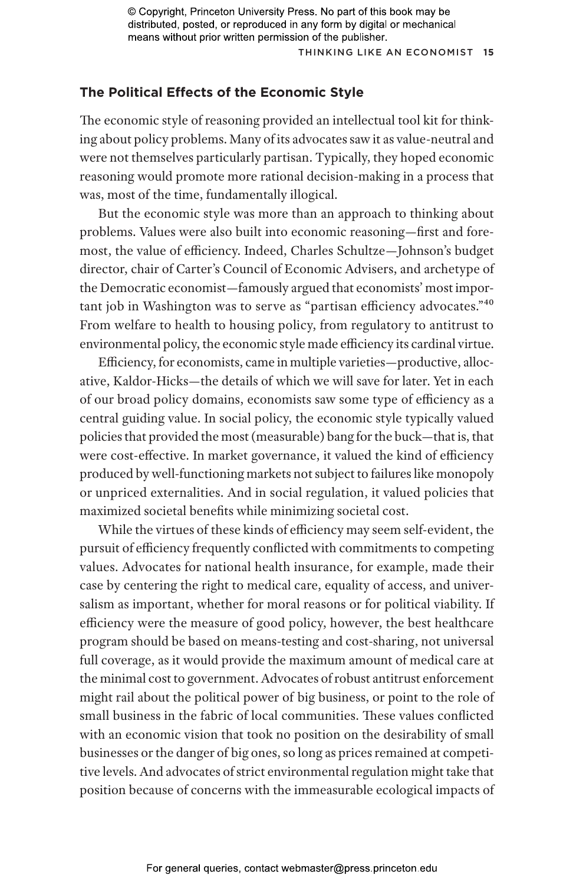# **The Political Effects of the Economic Style**

The economic style of reasoning provided an intellectual tool kit for thinking about policy problems. Many of its advocates saw it as value-neutral and were not themselves particularly partisan. Typically, they hoped economic reasoning would promote more rational decision-making in a process that was, most of the time, fundamentally illogical.

But the economic style was more than an approach to thinking about problems. Values were also built into economic reasoning—first and foremost, the value of efficiency. Indeed, Charles Schultze—Johnson's budget director, chair of Carter's Council of Economic Advisers, and archetype of the Democratic economist—famously argued that economists' most important job in Washington was to serve as "partisan efficiency advocates."<sup>40</sup> From welfare to health to housing policy, from regulatory to antitrust to environmental policy, the economic style made efficiency its cardinal virtue.

Efficiency, for economists, came in multiple varieties—productive, allocative, Kaldor-Hicks—the details of which we will save for later. Yet in each of our broad policy domains, economists saw some type of efficiency as a central guiding value. In social policy, the economic style typically valued policies that provided the most (measurable) bang for the buck—that is, that were cost-effective. In market governance, it valued the kind of efficiency produced by well-functioning markets not subject to failures like monopoly or unpriced externalities. And in social regulation, it valued policies that maximized societal benefits while minimizing societal cost.

While the virtues of these kinds of efficiency may seem self-evident, the pursuit of efficiency frequently conflicted with commitments to competing values. Advocates for national health insurance, for example, made their case by centering the right to medical care, equality of access, and universalism as important, whether for moral reasons or for political viability. If efficiency were the measure of good policy, however, the best healthcare program should be based on means-testing and cost-sharing, not universal full coverage, as it would provide the maximum amount of medical care at the minimal cost to government. Advocates of robust antitrust enforcement might rail about the political power of big business, or point to the role of small business in the fabric of local communities. These values conflicted with an economic vision that took no position on the desirability of small businesses or the danger of big ones, so long as prices remained at competitive levels. And advocates of strict environmental regulation might take that position because of concerns with the immeasurable ecological impacts of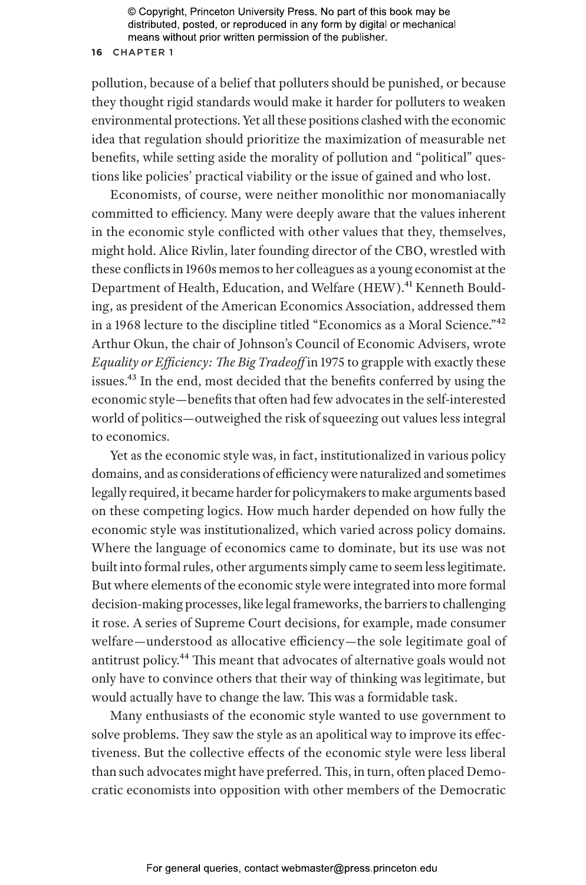#### **16** CHAPTER 1

pollution, because of a belief that polluters should be punished, or because they thought rigid standards would make it harder for polluters to weaken environmental protections. Yet all these positions clashed with the economic idea that regulation should prioritize the maximization of measurable net benefits, while setting aside the morality of pollution and "political" questions like policies' practical viability or the issue of gained and who lost.

Economists, of course, were neither monolithic nor monomaniacally committed to efficiency. Many were deeply aware that the values inherent in the economic style conflicted with other values that they, themselves, might hold. Alice Rivlin, later founding director of the CBO, wrestled with these conflicts in 1960s memos to her colleagues as a young economist at the Department of Health, Education, and Welfare (HEW).<sup>41</sup> Kenneth Boulding, as president of the American Economics Association, addressed them in a 1968 lecture to the discipline titled "Economics as a Moral Science."<sup>42</sup> Arthur Okun, the chair of Johnson's Council of Economic Advisers, wrote *Equality or Efficiency: The Big Tradeoff* in 1975 to grapple with exactly these issues.<sup>43</sup> In the end, most decided that the benefits conferred by using the economic style—benefits that often had few advocates in the self-interested world of politics—outweighed the risk of squeezing out values less integral to economics.

Yet as the economic style was, in fact, institutionalized in various policy domains, and as considerations of efficiency were naturalized and sometimes legally required, it became harder for policymakers to make arguments based on these competing logics. How much harder depended on how fully the economic style was institutionalized, which varied across policy domains. Where the language of economics came to dominate, but its use was not built into formal rules, other arguments simply came to seem less legitimate. But where elements of the economic style were integrated into more formal decision-making processes, like legal frameworks, the barriers to challenging it rose. A series of Supreme Court decisions, for example, made consumer welfare—understood as allocative efficiency—the sole legitimate goal of antitrust policy.44 This meant that advocates of alternative goals would not only have to convince others that their way of thinking was legitimate, but would actually have to change the law. This was a formidable task.

Many enthusiasts of the economic style wanted to use government to solve problems. They saw the style as an apolitical way to improve its effectiveness. But the collective effects of the economic style were less liberal than such advocates might have preferred. This, in turn, often placed Democratic economists into opposition with other members of the Democratic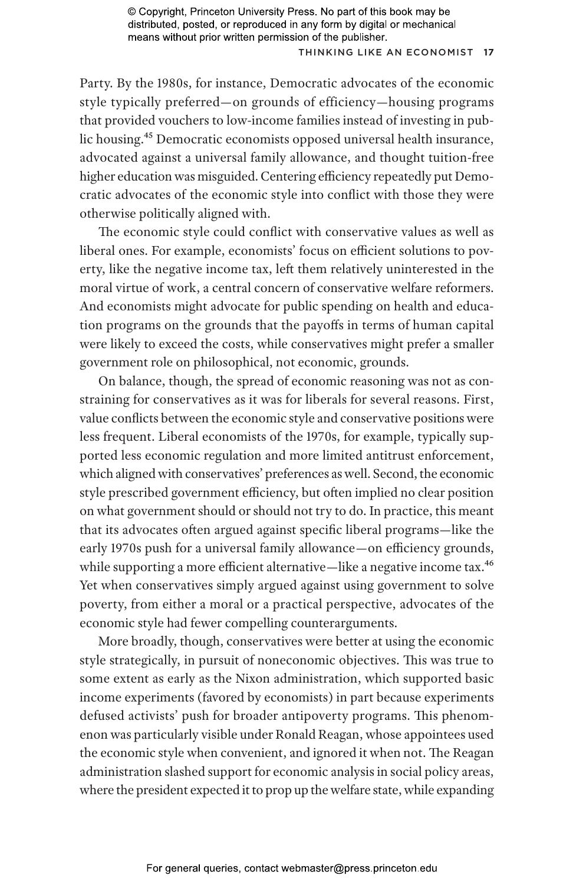# Thinking like an Economist **17**

Party. By the 1980s, for instance, Democratic advocates of the economic style typically preferred—on grounds of efficiency—housing programs that provided vouchers to low-income families instead of investing in public housing.45 Democratic economists opposed universal health insurance, advocated against a universal family allowance, and thought tuition-free higher education was misguided. Centering efficiency repeatedly put Democratic advocates of the economic style into conflict with those they were otherwise politically aligned with.

The economic style could conflict with conservative values as well as liberal ones. For example, economists' focus on efficient solutions to poverty, like the negative income tax, left them relatively uninterested in the moral virtue of work, a central concern of conservative welfare reformers. And economists might advocate for public spending on health and education programs on the grounds that the payoffs in terms of human capital were likely to exceed the costs, while conservatives might prefer a smaller government role on philosophical, not economic, grounds.

On balance, though, the spread of economic reasoning was not as constraining for conservatives as it was for liberals for several reasons. First, value conflicts between the economic style and conservative positions were less frequent. Liberal economists of the 1970s, for example, typically supported less economic regulation and more limited antitrust enforcement, which aligned with conservatives' preferences as well. Second, the economic style prescribed government efficiency, but often implied no clear position on what government should or should not try to do. In practice, this meant that its advocates often argued against specific liberal programs—like the early 1970s push for a universal family allowance—on efficiency grounds, while supporting a more efficient alternative—like a negative income tax.<sup>46</sup> Yet when conservatives simply argued against using government to solve poverty, from either a moral or a practical perspective, advocates of the economic style had fewer compelling counterarguments.

More broadly, though, conservatives were better at using the economic style strategically, in pursuit of noneconomic objectives. This was true to some extent as early as the Nixon administration, which supported basic income experiments (favored by economists) in part because experiments defused activists' push for broader antipoverty programs. This phenomenon was particularly visible under Ronald Reagan, whose appointees used the economic style when convenient, and ignored it when not. The Reagan administration slashed support for economic analysis in social policy areas, where the president expected it to prop up the welfare state, while expanding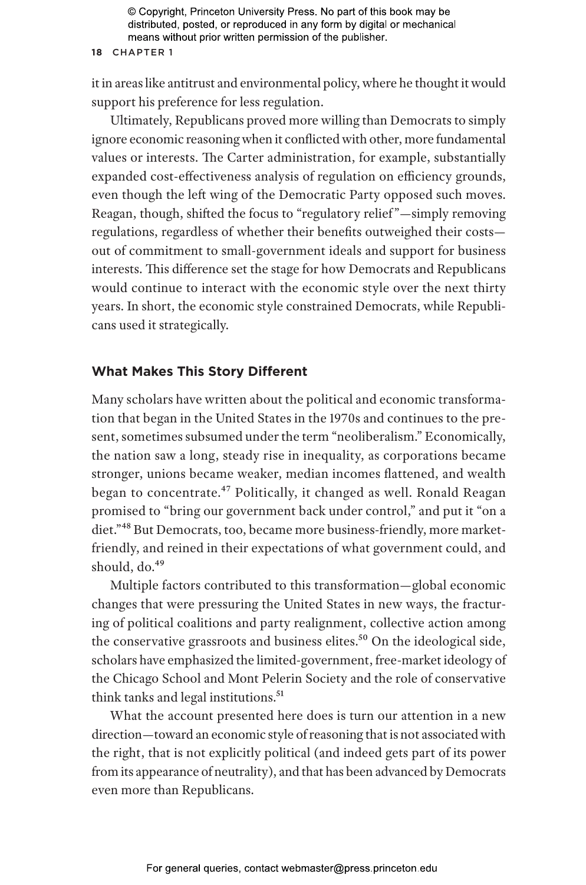#### **18** CHAPTER 1

it in areas like antitrust and environmental policy, where he thought it would support his preference for less regulation.

Ultimately, Republicans proved more willing than Democrats to simply ignore economic reasoning when it conflicted with other, more fundamental values or interests. The Carter administration, for example, substantially expanded cost-effectiveness analysis of regulation on efficiency grounds, even though the left wing of the Democratic Party opposed such moves. Reagan, though, shifted the focus to "regulatory relief "—simply removing regulations, regardless of whether their benefits outweighed their costs out of commitment to small-government ideals and support for business interests. This difference set the stage for how Democrats and Republicans would continue to interact with the economic style over the next thirty years. In short, the economic style constrained Democrats, while Republicans used it strategically.

# **What Makes This Story Different**

Many scholars have written about the political and economic transformation that began in the United States in the 1970s and continues to the present, sometimes subsumed under the term "neoliberalism." Economically, the nation saw a long, steady rise in inequality, as corporations became stronger, unions became weaker, median incomes flattened, and wealth began to concentrate.<sup>47</sup> Politically, it changed as well. Ronald Reagan promised to "bring our government back under control," and put it "on a diet."48 But Democrats, too, became more business-friendly, more marketfriendly, and reined in their expectations of what government could, and should,  $do.<sup>49</sup>$ 

Multiple factors contributed to this transformation—global economic changes that were pressuring the United States in new ways, the fracturing of political coalitions and party realignment, collective action among the conservative grassroots and business elites.<sup>50</sup> On the ideological side, scholars have emphasized the limited-government, free-market ideology of the Chicago School and Mont Pelerin Society and the role of conservative think tanks and legal institutions.<sup>51</sup>

What the account presented here does is turn our attention in a new direction—toward an economic style of reasoning that is not associated with the right, that is not explicitly political (and indeed gets part of its power from its appearance of neutrality), and that has been advanced by Democrats even more than Republicans.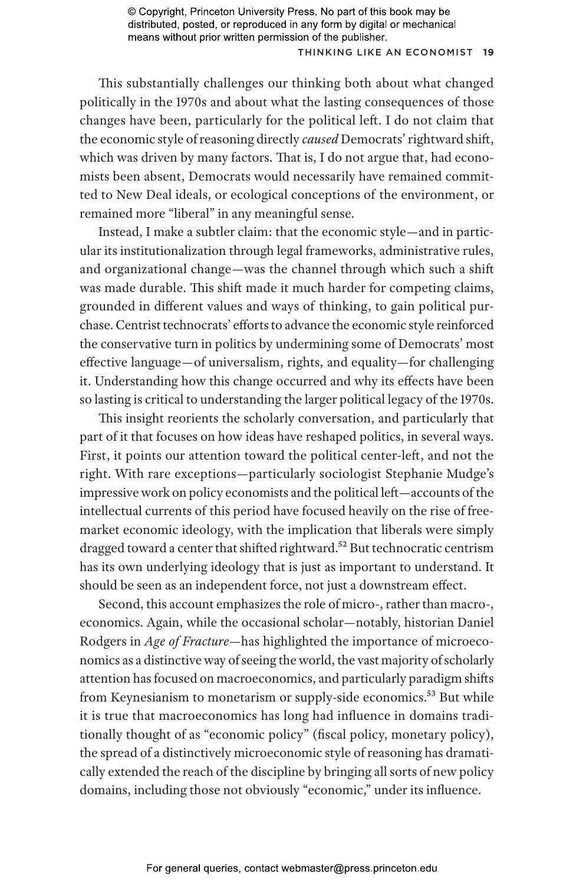# Thinking like an Economist **19**

This substantially challenges our thinking both about what changed politically in the 1970s and about what the lasting consequences of those changes have been, particularly for the political left. I do not claim that the economic style of reasoning directly *caused* Democrats' rightward shift, which was driven by many factors. That is, I do not argue that, had economists been absent, Democrats would necessarily have remained committed to New Deal ideals, or ecological conceptions of the environment, or remained more "liberal" in any meaningful sense.

Instead, I make a subtler claim: that the economic style—and in particular its institutionalization through legal frameworks, administrative rules, and organizational change—was the channel through which such a shift was made durable. This shift made it much harder for competing claims, grounded in different values and ways of thinking, to gain political purchase. Centrist technocrats' efforts to advance the economic style reinforced the conservative turn in politics by undermining some of Democrats' most effective language—of universalism, rights, and equality—for challenging it. Understanding how this change occurred and why its effects have been so lasting is critical to understanding the larger political legacy of the 1970s.

This insight reorients the scholarly conversation, and particularly that part of it that focuses on how ideas have reshaped politics, in several ways. First, it points our attention toward the political center-left, and not the right. With rare exceptions—particularly sociologist Stephanie Mudge's impressive work on policy economists and the political left—accounts of the intellectual currents of this period have focused heavily on the rise of freemarket economic ideology, with the implication that liberals were simply dragged toward a center that shifted rightward.<sup>52</sup> But technocratic centrism has its own underlying ideology that is just as important to understand. It should be seen as an independent force, not just a downstream effect.

Second, this account emphasizes the role of micro-, rather than macro-, economics. Again, while the occasional scholar—notably, historian Daniel Rodgers in *Age of Fracture*—has highlighted the importance of microeconomics as a distinctive way of seeing the world, the vast majority of scholarly attention has focused on macroeconomics, and particularly paradigm shifts from Keynesianism to monetarism or supply-side economics.<sup>53</sup> But while it is true that macroeconomics has long had influence in domains traditionally thought of as "economic policy" (fiscal policy, monetary policy), the spread of a distinctively microeconomic style of reasoning has dramatically extended the reach of the discipline by bringing all sorts of new policy domains, including those not obviously "economic," under its influence.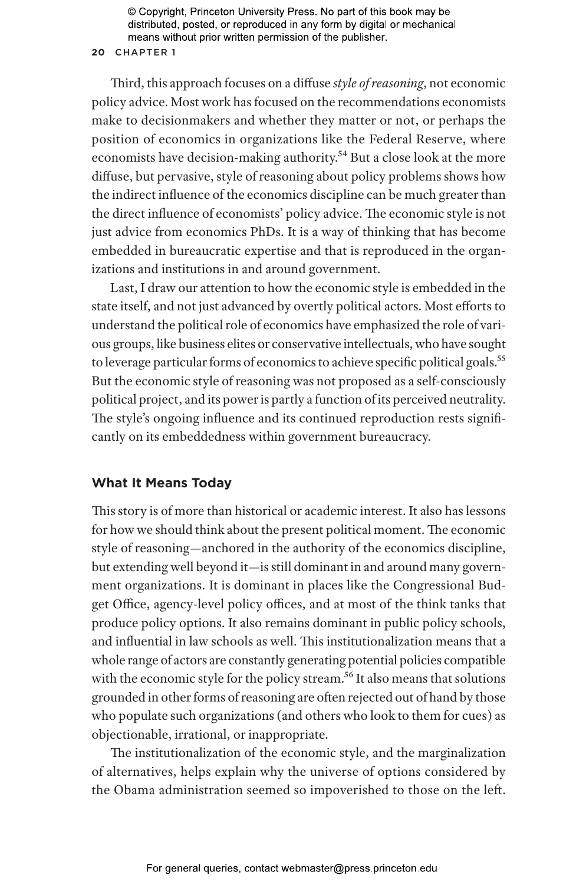# **20** CHAPTER 1

Third, this approach focuses on a diffuse *style of reasoning*, not economic policy advice. Most work has focused on the recommendations economists make to decisionmakers and whether they matter or not, or perhaps the position of economics in organizations like the Federal Reserve, where economists have decision-making authority.<sup>54</sup> But a close look at the more diffuse, but pervasive, style of reasoning about policy problems shows how the indirect influence of the economics discipline can be much greater than the direct influence of economists' policy advice. The economic style is not just advice from economics PhDs. It is a way of thinking that has become embedded in bureaucratic expertise and that is reproduced in the organizations and institutions in and around government.

Last, I draw our attention to how the economic style is embedded in the state itself, and not just advanced by overtly political actors. Most efforts to understand the political role of economics have emphasized the role of various groups, like business elites or conservative intellectuals, who have sought to leverage particular forms of economics to achieve specific political goals.<sup>55</sup> But the economic style of reasoning was not proposed as a self-consciously political project, and its power is partly a function of its perceived neutrality. The style's ongoing influence and its continued reproduction rests significantly on its embeddedness within government bureaucracy.

# **What It Means Today**

This story is of more than historical or academic interest. It also has lessons for how we should think about the present political moment. The economic style of reasoning—anchored in the authority of the economics discipline, but extending well beyond it—is still dominant in and around many government organizations. It is dominant in places like the Congressional Budget Office, agency-level policy offices, and at most of the think tanks that produce policy options. It also remains dominant in public policy schools, and influential in law schools as well. This institutionalization means that a whole range of actors are constantly generating potential policies compatible with the economic style for the policy stream.<sup>56</sup> It also means that solutions grounded in other forms of reasoning are often rejected out of hand by those who populate such organizations (and others who look to them for cues) as objectionable, irrational, or inappropriate.

The institutionalization of the economic style, and the marginalization of alternatives, helps explain why the universe of options considered by the Obama administration seemed so impoverished to those on the left.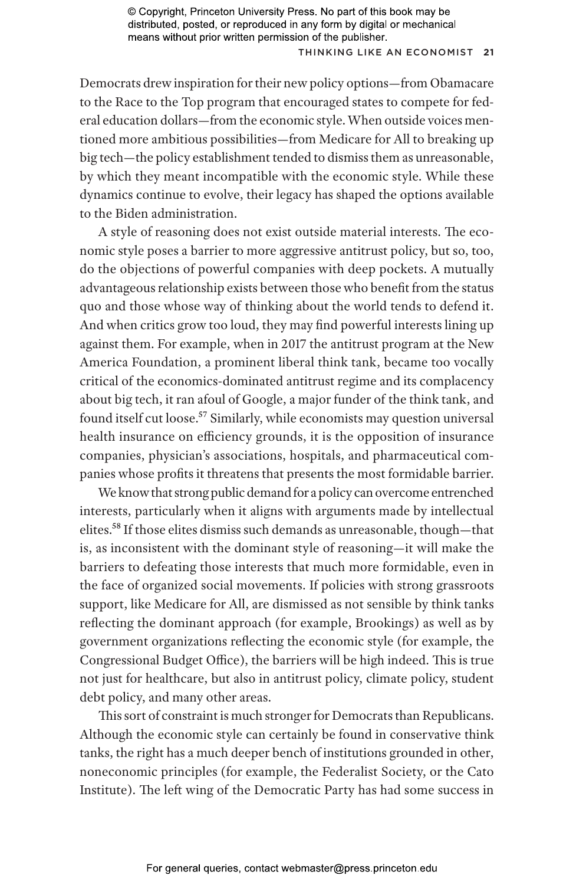# Thinking like an Economist **21**

Democrats drew inspiration for their new policy options—from Obamacare to the Race to the Top program that encouraged states to compete for federal education dollars—from the economic style. When outside voices mentioned more ambitious possibilities—from Medicare for All to breaking up big tech—the policy establishment tended to dismiss them as unreasonable, by which they meant incompatible with the economic style. While these dynamics continue to evolve, their legacy has shaped the options available to the Biden administration.

A style of reasoning does not exist outside material interests. The economic style poses a barrier to more aggressive antitrust policy, but so, too, do the objections of powerful companies with deep pockets. A mutually advantageous relationship exists between those who benefit from the status quo and those whose way of thinking about the world tends to defend it. And when critics grow too loud, they may find powerful interests lining up against them. For example, when in 2017 the antitrust program at the New America Foundation, a prominent liberal think tank, became too vocally critical of the economics-dominated antitrust regime and its complacency about big tech, it ran afoul of Google, a major funder of the think tank, and found itself cut loose.<sup>57</sup> Similarly, while economists may question universal health insurance on efficiency grounds, it is the opposition of insurance companies, physician's associations, hospitals, and pharmaceutical companies whose profits it threatens that presents the most formidable barrier.

We know that strong public demand for a policy can overcome entrenched interests, particularly when it aligns with arguments made by intellectual elites.58 If those elites dismiss such demands as unreasonable, though—that is, as inconsistent with the dominant style of reasoning—it will make the barriers to defeating those interests that much more formidable, even in the face of organized social movements. If policies with strong grassroots support, like Medicare for All, are dismissed as not sensible by think tanks reflecting the dominant approach (for example, Brookings) as well as by government organizations reflecting the economic style (for example, the Congressional Budget Office), the barriers will be high indeed. This is true not just for healthcare, but also in antitrust policy, climate policy, student debt policy, and many other areas.

This sort of constraint is much stronger for Democrats than Republicans. Although the economic style can certainly be found in conservative think tanks, the right has a much deeper bench of institutions grounded in other, noneconomic principles (for example, the Federalist Society, or the Cato Institute). The left wing of the Democratic Party has had some success in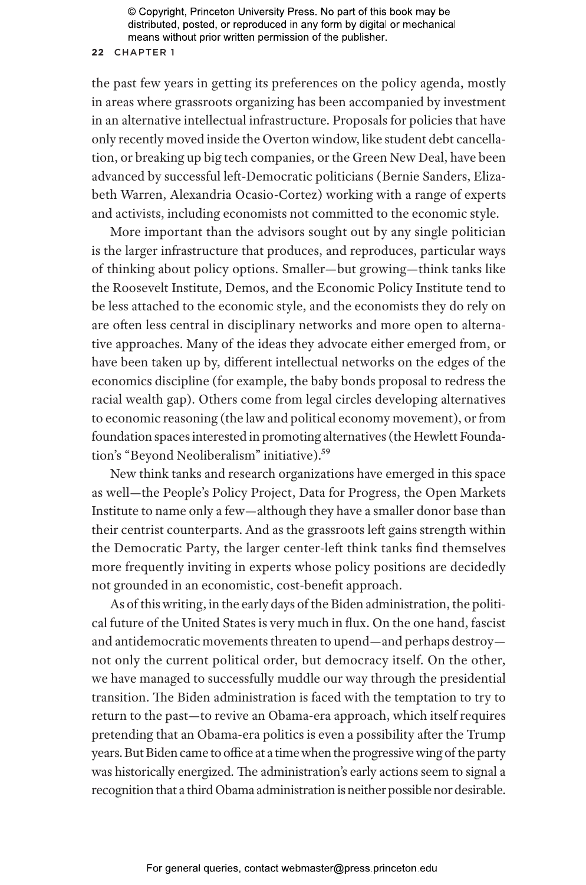# **22** CHAPTER 1

the past few years in getting its preferences on the policy agenda, mostly in areas where grassroots organizing has been accompanied by investment in an alternative intellectual infrastructure. Proposals for policies that have only recently moved inside the Overton window, like student debt cancellation, or breaking up big tech companies, or the Green New Deal, have been advanced by successful left-Democratic politicians (Bernie Sanders, Elizabeth Warren, Alexandria Ocasio-Cortez) working with a range of experts and activists, including economists not committed to the economic style.

More important than the advisors sought out by any single politician is the larger infrastructure that produces, and reproduces, particular ways of thinking about policy options. Smaller—but growing—think tanks like the Roosevelt Institute, Demos, and the Economic Policy Institute tend to be less attached to the economic style, and the economists they do rely on are often less central in disciplinary networks and more open to alternative approaches. Many of the ideas they advocate either emerged from, or have been taken up by, different intellectual networks on the edges of the economics discipline (for example, the baby bonds proposal to redress the racial wealth gap). Others come from legal circles developing alternatives to economic reasoning (the law and political economy movement), or from foundation spaces interested in promoting alternatives (the Hewlett Foundation's "Beyond Neoliberalism" initiative).59

New think tanks and research organizations have emerged in this space as well—the People's Policy Project, Data for Progress, the Open Markets Institute to name only a few—although they have a smaller donor base than their centrist counterparts. And as the grassroots left gains strength within the Democratic Party, the larger center-left think tanks find themselves more frequently inviting in experts whose policy positions are decidedly not grounded in an economistic, cost-benefit approach.

As of this writing, in the early days of the Biden administration, the political future of the United States is very much in flux. On the one hand, fascist and antidemocratic movements threaten to upend—and perhaps destroy not only the current political order, but democracy itself. On the other, we have managed to successfully muddle our way through the presidential transition. The Biden administration is faced with the temptation to try to return to the past—to revive an Obama-era approach, which itself requires pretending that an Obama-era politics is even a possibility after the Trump years. But Biden came to office at a time when the progressive wing of the party was historically energized. The administration's early actions seem to signal a recognition that a third Obama administration is neither possible nor desirable.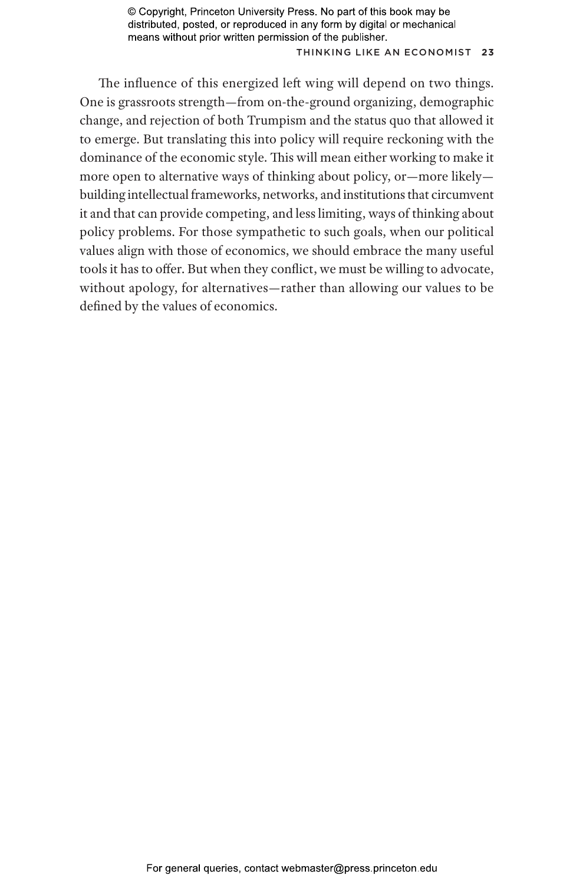# Thinking like an Economist **23**

The influence of this energized left wing will depend on two things. One is grassroots strength—from on-the-ground organizing, demographic change, and rejection of both Trumpism and the status quo that allowed it to emerge. But translating this into policy will require reckoning with the dominance of the economic style. This will mean either working to make it more open to alternative ways of thinking about policy, or—more likely building intellectual frameworks, networks, and institutions that circumvent it and that can provide competing, and less limiting, ways of thinking about policy problems. For those sympathetic to such goals, when our political values align with those of economics, we should embrace the many useful tools it has to offer. But when they conflict, we must be willing to advocate, without apology, for alternatives—rather than allowing our values to be defined by the values of economics.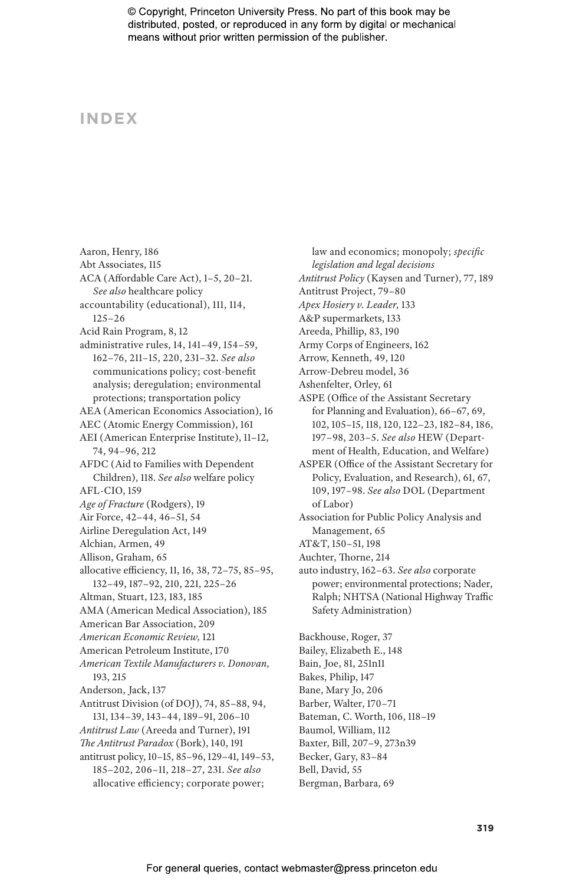# **INDEX**

Aaron, Henry, 186 Abt Associates, 115 ACA (Affordable Care Act), 1–5, 20–21. *See also* healthcare policy accountability (educational), 111, 114, 125–26 Acid Rain Program, 8, 12 administrative rules, 14, 141–49, 154–59, 162–76, 211–15, 220, 231–32. *See also* communications policy; cost-benefit analysis; deregulation; environmental protections; transportation policy AEA (American Economics Association), 16 AEC (Atomic Energy Commission), 161 AEI (American Enterprise Institute), 11–12, 74, 94–96, 212 AFDC (Aid to Families with Dependent Children), 118. *See also* welfare policy AFL-CIO, 159 *Age of Fracture* (Rodgers), 19 Air Force, 42–44, 46–51, 54 Airline Deregulation Act, 149 Alchian, Armen, 49 Allison, Graham, 65 allocative efficiency, 11, 16, 38, 72–75, 85–95, 132–49, 187–92, 210, 221, 225–26 Altman, Stuart, 123, 183, 185 AMA (American Medical Association), 185 American Bar Association, 209 *American Economic Review,* 121 American Petroleum Institute, 170 *American Textile Manufacturers v. Donovan,* 193, 215 Anderson, Jack, 137 Antitrust Division (of DOJ), 74, 85–88, 94, 131, 134–39, 143–44, 189–91, 206–10 *Antitrust Law* (Areeda and Turner), 191 *The Antitrust Paradox* (Bork), 140, 191 antitrust policy, 10–15, 85–96, 129–41, 149–53, 185–202, 206–11, 218–27, 231. *See also* allocative efficiency; corporate power;

law and economics; monopoly; *specific* 

*legislation and legal decisions*

*Antitrust Policy* (Kaysen and Turner), 77, 189

Antitrust Project, 79–80

*Apex Hosiery v. Leader,* 133

A&P supermarkets, 133

Areeda, Phillip, 83, 190

Army Corps of Engineers, 162

Arrow, Kenneth, 49, 120

Arrow-Debreu model, 36

Ashenfelter, Orley, 61

ASPE (Office of the Assistant Secretary for Planning and Evaluation), 66–67, 69, 102, 105–15, 118, 120, 122–23, 182–84, 186, 197–98, 203–5. *See also* HEW (Department of Health, Education, and Welfare)

ASPER (Office of the Assistant Secretary for Policy, Evaluation, and Research), 61, 67, 109, 197–98. *See also* DOL (Department of Labor)

Association for Public Policy Analysis and Management, 65

AT&T, 150–51, 198

Auchter, Thorne, 214

auto industry, 162–63. *See also* corporate power; environmental protections; Nader, Ralph; NHTSA (National Highway Traffic Safety Administration)

Backhouse, Roger, 37

Bailey, Elizabeth E., 148

Bain, Joe, 81, 251n11

Bakes, Philip, 147

Bane, Mary Jo, 206

Barber, Walter, 170–71

Bateman, C. Worth, 106, 118–19

Baumol, William, 112 Baxter, Bill, 207–9, 273n39

Becker, Gary, 83–84

Bell, David, 55

Bergman, Barbara, 69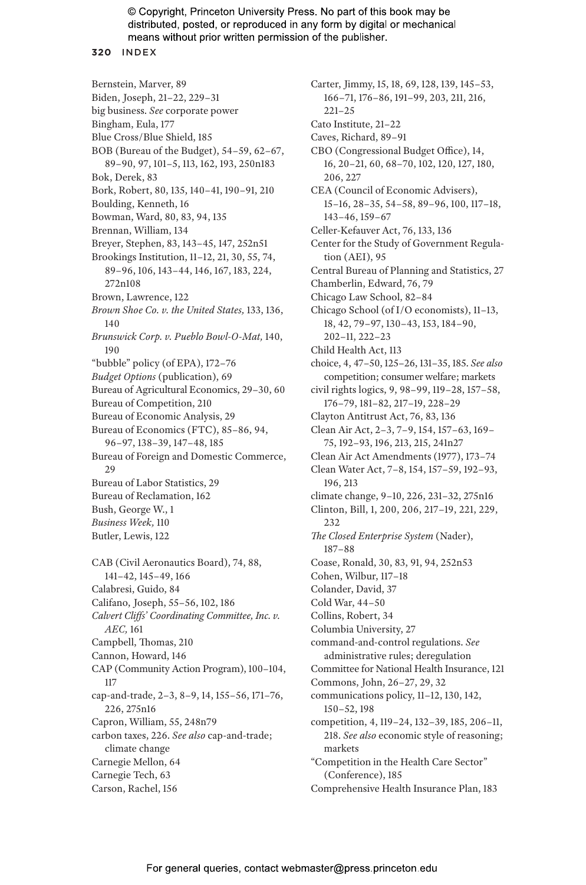#### **320** INDEX

Bernstein, Marver, 89 Biden, Joseph, 21–22, 229–31 big business. *See* corporate power Bingham, Eula, 177 Blue Cross/Blue Shield, 185 BOB (Bureau of the Budget), 54–59, 62–67, 89–90, 97, 101–5, 113, 162, 193, 250n183 Bok, Derek, 83 Bork, Robert, 80, 135, 140–41, 190–91, 210 Boulding, Kenneth, 16 Bowman, Ward, 80, 83, 94, 135 Brennan, William, 134 Breyer, Stephen, 83, 143–45, 147, 252n51 Brookings Institution, 11–12, 21, 30, 55, 74, 89–96, 106, 143–44, 146, 167, 183, 224, 272n108 Brown, Lawrence, 122 *Brown Shoe Co. v. the United States,* 133, 136, 140 *Brunswick Corp. v. Pueblo Bowl-O-Mat,* 140, 190 "bubble" policy (of EPA), 172–76 *Budget Options* (publication), 69 Bureau of Agricultural Economics, 29–30, 60 Bureau of Competition, 210 Bureau of Economic Analysis, 29 Bureau of Economics (FTC), 85–86, 94, 96–97, 138–39, 147–48, 185 Bureau of Foreign and Domestic Commerce, 29 Bureau of Labor Statistics, 29 Bureau of Reclamation, 162 Bush, George W., 1 *Business Week,* 110 Butler, Lewis, 122 CAB (Civil Aeronautics Board), 74, 88, 141–42, 145–49, 166 Calabresi, Guido, 84 Califano, Joseph, 55–56, 102, 186 *Calvert Cliffs' Coordinating Committee, Inc. v. AEC,* 161 Campbell, Thomas, 210 Cannon, Howard, 146 CAP (Community Action Program), 100–104, 117 cap-and-trade, 2–3, 8–9, 14, 155–56, 171–76, 226, 275n16 Capron, William, 55, 248n79 carbon taxes, 226. *See also* cap-and-trade; climate change

Carnegie Mellon, 64 Carnegie Tech, 63 Carson, Rachel, 156

Carter, Jimmy, 15, 18, 69, 128, 139, 145–53, 166–71, 176–86, 191–99, 203, 211, 216, 221–25 Cato Institute, 21–22 Caves, Richard, 89–91 CBO (Congressional Budget Office), 14, 16, 20–21, 60, 68–70, 102, 120, 127, 180, 206, 227 CEA (Council of Economic Advisers), 15–16, 28–35, 54–58, 89–96, 100, 117–18, 143–46, 159–67 Celler-Kefauver Act, 76, 133, 136 Center for the Study of Government Regulation (AEI), 95 Central Bureau of Planning and Statistics, 27 Chamberlin, Edward, 76, 79 Chicago Law School, 82–84 Chicago School (of I/O economists), 11–13, 18, 42, 79–97, 130–43, 153, 184–90, 202–11, 222–23 Child Health Act, 113 choice, 4, 47–50, 125–26, 131–35, 185. *See also* competition; consumer welfare; markets civil rights logics, 9, 98–99, 119–28, 157–58, 176–79, 181–82, 217–19, 228–29 Clayton Antitrust Act, 76, 83, 136 Clean Air Act, 2–3, 7–9, 154, 157–63, 169– 75, 192–93, 196, 213, 215, 241n27 Clean Air Act Amendments (1977), 173–74 Clean Water Act, 7–8, 154, 157–59, 192–93, 196, 213 climate change, 9–10, 226, 231–32, 275n16 Clinton, Bill, 1, 200, 206, 217–19, 221, 229, 232 *The Closed Enterprise System* (Nader), 187–88 Coase, Ronald, 30, 83, 91, 94, 252n53 Cohen, Wilbur, 117–18 Colander, David, 37 Cold War, 44–50 Collins, Robert, 34 Columbia University, 27 command-and-control regulations. *See* administrative rules; deregulation Committee for National Health Insurance, 121 Commons, John, 26–27, 29, 32 communications policy, 11–12, 130, 142, 150–52, 198 competition, 4, 119–24, 132–39, 185, 206–11, 218. *See also* economic style of reasoning; markets "Competition in the Health Care Sector" (Conference), 185 Comprehensive Health Insurance Plan, 183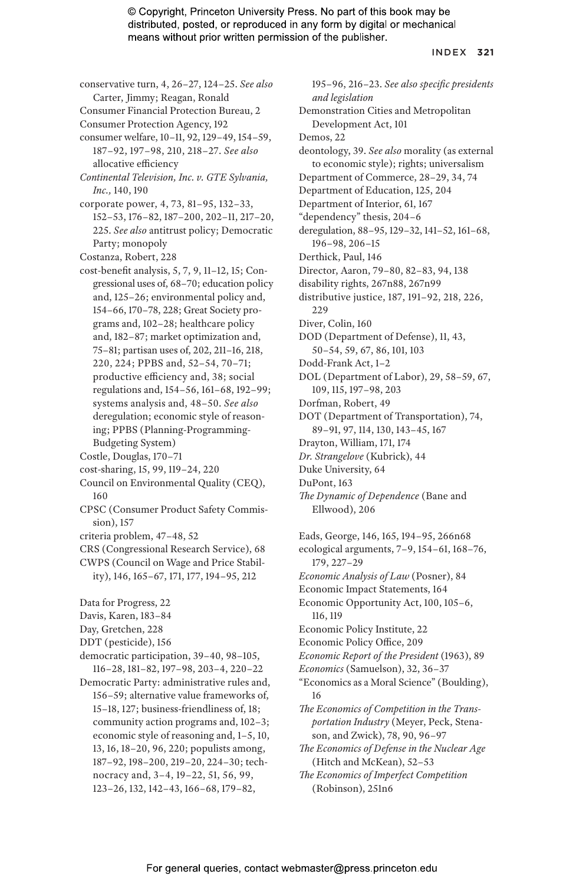#### INDEX **321**

- conservative turn, 4, 26–27, 124–25. *See also* Carter, Jimmy; Reagan, Ronald
- Consumer Financial Protection Bureau, 2 Consumer Protection Agency, 192
- consumer welfare, 10–11, 92, 129–49, 154–59,
- 187–92, 197–98, 210, 218–27. *See also* allocative efficiency
- *Continental Television, Inc. v. GTE Sylvania, Inc.,* 140, 190
- corporate power, 4, 73, 81–95, 132–33, 152–53, 176–82, 187–200, 202–11, 217–20, 225. *See also* antitrust policy; Democratic Party; monopoly
- Costanza, Robert, 228
- cost-benefit analysis, 5, 7, 9, 11–12, 15; Congressional uses of, 68–70; education policy and, 125–26; environmental policy and, 154–66, 170–78, 228; Great Society programs and, 102–28; healthcare policy and, 182–87; market optimization and, 75–81; partisan uses of, 202, 211–16, 218, 220, 224; PPBS and, 52–54, 70–71; productive efficiency and, 38; social regulations and, 154–56, 161–68, 192–99; systems analysis and, 48–50. *See also* deregulation; economic style of reasoning; PPBS (Planning-Programming-Budgeting System)
- Costle, Douglas, 170–71
- cost-sharing, 15, 99, 119–24, 220
- Council on Environmental Quality (CEQ), 160
- CPSC (Consumer Product Safety Commission), 157
- criteria problem, 47–48, 52
- CRS (Congressional Research Service), 68
- CWPS (Council on Wage and Price Stability), 146, 165–67, 171, 177, 194–95, 212
- Data for Progress, 22
- Davis, Karen, 183–84
- Day, Gretchen, 228
- DDT (pesticide), 156
- democratic participation, 39–40, 98–105, 116–28, 181–82, 197–98, 203–4, 220–22
- Democratic Party: administrative rules and, 156–59; alternative value frameworks of, 15–18, 127; business-friendliness of, 18; community action programs and, 102–3; economic style of reasoning and, 1–5, 10, 13, 16, 18–20, 96, 220; populists among, 187–92, 198–200, 219–20, 224–30; technocracy and, 3–4, 19–22, 51, 56, 99, 123–26, 132, 142–43, 166–68, 179–82,

195–96, 216–23. *See also specific presidents and legislation* Demonstration Cities and Metropolitan Development Act, 101 Demos, 22 deontology, 39. *See also* morality (as external to economic style); rights; universalism Department of Commerce, 28–29, 34, 74 Department of Education, 125, 204 Department of Interior, 61, 167 "dependency" thesis, 204–6 deregulation, 88–95, 129–32, 141–52, 161–68, 196–98, 206–15 Derthick, Paul, 146 Director, Aaron, 79–80, 82–83, 94, 138 disability rights, 267n88, 267n99 distributive justice, 187, 191–92, 218, 226, 229 Diver, Colin, 160 DOD (Department of Defense), 11, 43, 50–54, 59, 67, 86, 101, 103 Dodd-Frank Act, 1–2 DOL (Department of Labor), 29, 58–59, 67, 109, 115, 197–98, 203 Dorfman, Robert, 49 DOT (Department of Transportation), 74, 89–91, 97, 114, 130, 143–45, 167 Drayton, William, 171, 174 *Dr. Strangelove* (Kubrick), 44 Duke University, 64 DuPont, 163 *The Dynamic of Dependence* (Bane and Ellwood), 206 Eads, George, 146, 165, 194–95, 266n68 ecological arguments, 7–9, 154–61, 168–76, 179, 227–29 *Economic Analysis of Law* (Posner), 84 Economic Impact Statements, 164

Economic Opportunity Act, 100, 105–6, 116, 119

- Economic Policy Institute, 22
- Economic Policy Office, 209
- *Economic Report of the President* (1963), 89
- *Economics* (Samuelson), 32, 36–37
- "Economics as a Moral Science" (Boulding), 16

*The Economics of Competition in the Transportation Industry* (Meyer, Peck, Stenason, and Zwick), 78, 90, 96–97

*The Economics of Defense in the Nuclear Age* (Hitch and McKean), 52–53

*The Economics of Imperfect Competition* (Robinson), 251n6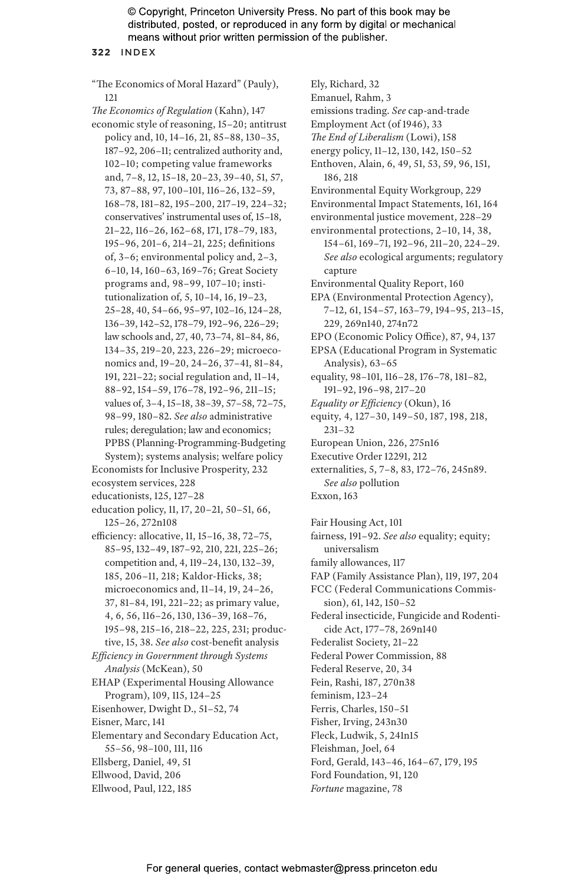#### **322** INDEX

"The Economics of Moral Hazard" (Pauly), 121 *The Economics of Regulation* (Kahn), 147

economic style of reasoning, 15–20; antitrust policy and, 10, 14–16, 21, 85–88, 130–35, 187–92, 206–11; centralized authority and, 102–10; competing value frameworks and, 7–8, 12, 15–18, 20–23, 39–40, 51, 57, 73, 87–88, 97, 100–101, 116–26, 132–59, 168–78, 181–82, 195–200, 217–19, 224–32; conservatives' instrumental uses of, 15–18, 21–22, 116–26, 162–68, 171, 178–79, 183, 195–96, 201–6, 214–21, 225; definitions of, 3–6; environmental policy and, 2–3, 6–10, 14, 160–63, 169–76; Great Society programs and, 98–99, 107–10; institutionalization of, 5, 10–14, 16, 19–23, 25–28, 40, 54–66, 95–97, 102–16, 124–28, 136–39, 142–52, 178–79, 192–96, 226–29; law schools and, 27, 40, 73–74, 81–84, 86, 134–35, 219–20, 223, 226–29; microeconomics and, 19–20, 24–26, 37–41, 81–84, 191, 221–22; social regulation and, 11–14, 88–92, 154–59, 176–78, 192–96, 211–15; values of, 3–4, 15–18, 38–39, 57–58, 72–75, 98–99, 180–82. *See also* administrative rules; deregulation; law and economics; PPBS (Planning-Programming-Budgeting System); systems analysis; welfare policy

Economists for Inclusive Prosperity, 232

ecosystem services, 228 educationists, 125, 127–28

education policy, 11, 17, 20–21, 50–51, 66, 125–26, 272n108

- efficiency: allocative, 11, 15–16, 38, 72–75, 85–95, 132–49, 187–92, 210, 221, 225–26; competition and, 4, 119–24, 130, 132–39, 185, 206–11, 218; Kaldor-Hicks, 38; microeconomics and, 11–14, 19, 24–26, 37, 81–84, 191, 221–22; as primary value, 4, 6, 56, 116–26, 130, 136–39, 168–76, 195–98, 215–16, 218–22, 225, 231; productive, 15, 38. *See also* cost-benefit analysis *Efficiency in Government through Systems Analysis* (McKean), 50 EHAP (Experimental Housing Allowance Program), 109, 115, 124–25 Eisenhower, Dwight D., 51–52, 74 Eisner, Marc, 141 Elementary and Secondary Education Act, 55–56, 98–100, 111, 116 Ellsberg, Daniel, 49, 51
- Ellwood, David, 206
- Ellwood, Paul, 122, 185

Ely, Richard, 32 Emanuel, Rahm, 3 emissions trading. *See* cap-and-trade Employment Act (of 1946), 33 *The End of Liberalism* (Lowi), 158 energy policy, 11–12, 130, 142, 150–52 Enthoven, Alain, 6, 49, 51, 53, 59, 96, 151, 186, 218 Environmental Equity Workgroup, 229 Environmental Impact Statements, 161, 164 environmental justice movement, 228–29 environmental protections, 2–10, 14, 38, 154–61, 169–71, 192–96, 211–20, 224–29. *See also* ecological arguments; regulatory capture Environmental Quality Report, 160 EPA (Environmental Protection Agency), 7–12, 61, 154–57, 163–79, 194–95, 213–15, 229, 269n140, 274n72 EPO (Economic Policy Office), 87, 94, 137 EPSA (Educational Program in Systematic Analysis), 63–65 equality, 98–101, 116–28, 176–78, 181–82, 191–92, 196–98, 217–20 *Equality or Efficiency* (Okun), 16 equity, 4, 127–30, 149–50, 187, 198, 218, 231–32 European Union, 226, 275n16 Executive Order 12291, 212 externalities, 5, 7–8, 83, 172–76, 245n89. *See also* pollution Exxon, 163 Fair Housing Act, 101 fairness, 191–92. *See also* equality; equity; universalism family allowances, 117 FAP (Family Assistance Plan), 119, 197, 204 FCC (Federal Communications Commission), 61, 142, 150–52 Federal insecticide, Fungicide and Rodenticide Act, 177–78, 269n140 Federalist Society, 21–22 Federal Power Commission, 88

Federal Reserve, 20, 34 Fein, Rashi, 187, 270n38 feminism, 123–24 Ferris, Charles, 150–51 Fisher, Irving, 243n30 Fleck, Ludwik, 5, 241n15 Fleishman, Joel, 64

Ford Foundation, 91, 120 *Fortune* magazine, 78

Ford, Gerald, 143–46, 164–67, 179, 195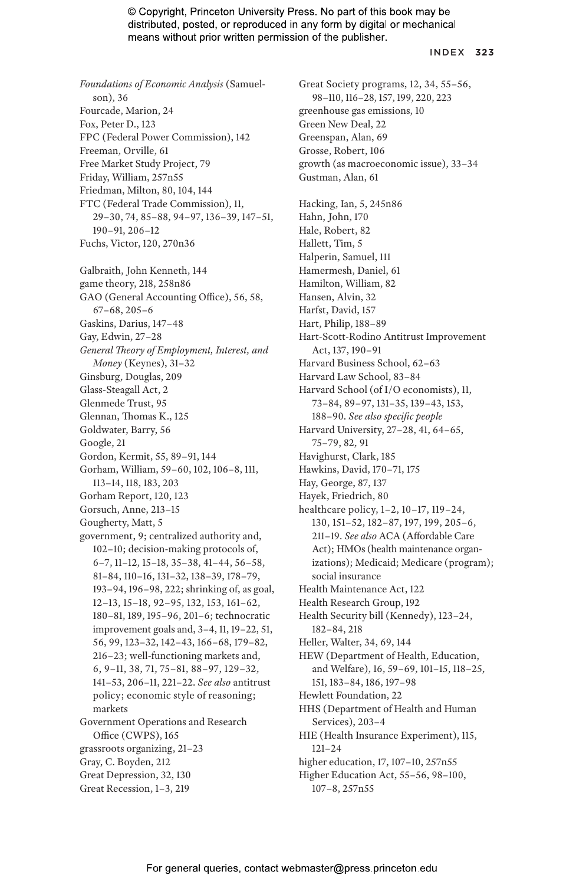#### INDEX **323**

*Foundations of Economic Analysis* (Samuelson), 36 Fourcade, Marion, 24 Fox, Peter D., 123 FPC (Federal Power Commission), 142 Freeman, Orville, 61 Free Market Study Project, 79 Friday, William, 257n55 Friedman, Milton, 80, 104, 144 FTC (Federal Trade Commission), 11, 29–30, 74, 85–88, 94–97, 136–39, 147–51, 190–91, 206–12 Fuchs, Victor, 120, 270n36 Galbraith, John Kenneth, 144 game theory, 218, 258n86 GAO (General Accounting Office), 56, 58, 67–68, 205–6 Gaskins, Darius, 147–48 Gay, Edwin, 27–28 *General Theory of Employment, Interest, and Money* (Keynes), 31–32 Ginsburg, Douglas, 209 Glass-Steagall Act, 2 Glenmede Trust, 95 Glennan, Thomas K., 125 Goldwater, Barry, 56 Google, 21 Gordon, Kermit, 55, 89–91, 144 Gorham, William, 59–60, 102, 106–8, 111, 113–14, 118, 183, 203 Gorham Report, 120, 123 Gorsuch, Anne, 213–15 Gougherty, Matt, 5 government, 9; centralized authority and, 102–10; decision-making protocols of, 6–7, 11–12, 15–18, 35–38, 41–44, 56–58, 81–84, 110–16, 131–32, 138–39, 178–79, 193–94, 196–98, 222; shrinking of, as goal, 12–13, 15–18, 92–95, 132, 153, 161–62, 180–81, 189, 195–96, 201–6; technocratic improvement goals and, 3–4, 11, 19–22, 51, 56, 99, 123–32, 142–43, 166–68, 179–82, 216–23; well-functioning markets and, 6, 9–11, 38, 71, 75–81, 88–97, 129–32, 141–53, 206–11, 221–22. *See also* antitrust policy; economic style of reasoning; markets Government Operations and Research Office (CWPS), 165 grassroots organizing, 21–23 Gray, C. Boyden, 212 Great Depression, 32, 130 Great Recession, 1–3, 219

Great Society programs, 12, 34, 55–56, 98–110, 116–28, 157, 199, 220, 223 greenhouse gas emissions, 10 Green New Deal, 22 Greenspan, Alan, 69 Grosse, Robert, 106 growth (as macroeconomic issue), 33–34 Gustman, Alan, 61 Hacking, Ian, 5, 245n86 Hahn, John, 170 Hale, Robert, 82 Hallett, Tim, 5 Halperin, Samuel, 111 Hamermesh, Daniel, 61 Hamilton, William, 82 Hansen, Alvin, 32 Harfst, David, 157 Hart, Philip, 188–89 Hart-Scott-Rodino Antitrust Improvement Act, 137, 190–91 Harvard Business School, 62–63 Harvard Law School, 83–84 Harvard School (of I/O economists), 11, 73–84, 89–97, 131–35, 139–43, 153, 188–90. *See also specific people* Harvard University, 27–28, 41, 64–65, 75–79, 82, 91 Havighurst, Clark, 185 Hawkins, David, 170–71, 175 Hay, George, 87, 137 Hayek, Friedrich, 80 healthcare policy, 1–2, 10–17, 119–24, 130, 151–52, 182–87, 197, 199, 205–6, 211–19. *See also* ACA (Affordable Care Act); HMOs (health maintenance organizations); Medicaid; Medicare (program); social insurance Health Maintenance Act, 122 Health Research Group, 192 Health Security bill (Kennedy), 123–24, 182–84, 218 Heller, Walter, 34, 69, 144 HEW (Department of Health, Education, and Welfare), 16, 59–69, 101–15, 118–25, 151, 183–84, 186, 197–98 Hewlett Foundation, 22 HHS (Department of Health and Human Services), 203–4 HIE (Health Insurance Experiment), 115, 121–24 higher education, 17, 107–10, 257n55 Higher Education Act, 55–56, 98–100, 107–8, 257n55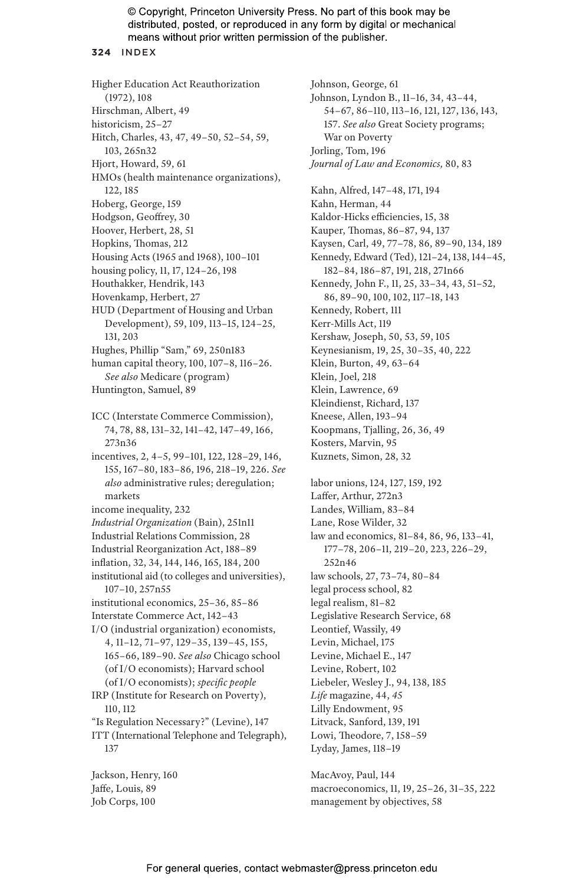#### **324** INDEX

| Higher Education Act Reauthorization                     |
|----------------------------------------------------------|
| (1972), 108<br>Hirschman, Albert, 49                     |
| historicism, 25-27                                       |
| Hitch, Charles, 43, 47, 49-50, 52-54, 59,<br>103, 265n32 |
| Hjort, Howard, 59, 61                                    |
| HMOs (health maintenance organizations),                 |
| 122, 185                                                 |
| Hoberg, George, 159                                      |
| Hodgson, Geoffrey, 30                                    |
| Hoover, Herbert, 28, 51                                  |
| Hopkins, Thomas, 212                                     |
| Housing Acts (1965 and 1968), 100-101                    |
| housing policy, 11, 17, 124-26, 198                      |
| Houthakker, Hendrik, 143                                 |
| Hovenkamp, Herbert, 27                                   |
| HUD (Department of Housing and Urban                     |
| Development), 59, 109, 113-15, 124-25,<br>131, 203       |
| Hughes, Phillip "Sam," 69, 250n183                       |
| human capital theory, 100, 107-8, 116-26.                |
| See also Medicare (program)                              |
| Huntington, Samuel, 89                                   |
| ICC (Interstate Commerce Commission),                    |
| 74, 78, 88, 131-32, 141-42, 147-49, 166,<br>273n36       |
| incentives, 2, 4-5, 99-101, 122, 128-29, 146,            |
| 155, 167-80, 183-86, 196, 218-19, 226. See               |
| also administrative rules; deregulation;<br>markets      |
| income inequality, 232                                   |
| Industrial Organization (Bain), 251n11                   |
| Industrial Relations Commission, 28                      |
| Industrial Reorganization Act, 188-89                    |
| inflation, 32, 34, 144, 146, 165, 184, 200               |
| institutional aid (to colleges and universities),        |
| 107-10, 257n55                                           |
| institutional economics, 25-36, 85-86                    |
| Interstate Commerce Act, 142-43                          |
| I/O (industrial organization) economists,                |
| 4, 11-12, 71-97, 129-35, 139-45, 155,                    |
| 165-66, 189-90. See also Chicago school                  |
| (of I/O economists); Harvard school                      |
| (of I/O economists); specific people                     |
| IRP (Institute for Research on Poverty),                 |
| 110, 112                                                 |
| "Is Regulation Necessary?" (Levine), 147                 |
| ITT (International Telephone and Telegraph),<br>137      |
|                                                          |
| Jackson, Henry, 160                                      |

Jaffe, Louis, 89 Job Corps, 100

Johnson, George, 61 Johnson, Lyndon B., 11–16, 34, 43–44, 54–67, 86–110, 113–16, 121, 127, 136, 143, 157. *See also* Great Society programs; War on Poverty Jorling, Tom, 196 *Journal of Law and Economics,* 80, 83 Kahn, Alfred, 147–48, 171, 194 Kahn, Herman, 44 Kaldor-Hicks efficiencies, 15, 38 Kauper, Thomas, 86–87, 94, 137 Kaysen, Carl, 49, 77–78, 86, 89–90, 134, 189 Kennedy, Edward (Ted), 121–24, 138, 144–45, 182–84, 186–87, 191, 218, 271n66 Kennedy, John F., 11, 25, 33–34, 43, 51–52, 86, 89–90, 100, 102, 117–18, 143 Kennedy, Robert, 111 Kerr-Mills Act, 119 Kershaw, Joseph, 50, 53, 59, 105 Keynesianism, 19, 25, 30–35, 40, 222 Klein, Burton, 49, 63–64 Klein, Joel, 218 Klein, Lawrence, 69 Kleindienst, Richard, 137 Kneese, Allen, 193–94 Koopmans, Tjalling, 26, 36, 49 Kosters, Marvin, 95 Kuznets, Simon, 28, 32 labor unions, 124, 127, 159, 192 Laffer, Arthur, 272n3 Landes, William, 83–84 Lane, Rose Wilder, 32 law and economics, 81–84, 86, 96, 133–41, 177–78, 206–11, 219–20, 223, 226–29, 252n46 law schools, 27, 73–74, 80–84 legal process school, 82 legal realism, 81–82 Legislative Research Service, 68 Leontief, Wassily, 49 Levin, Michael, 175 Levine, Michael E., 147 Levine, Robert, 102 Liebeler, Wesley J., 94, 138, 185 *Life* magazine, 44, *45* Lilly Endowment, 95 Litvack, Sanford, 139, 191 Lowi, Theodore, 7, 158–59 Lyday, James, 118–19

MacAvoy, Paul, 144 macroeconomics, 11, 19, 25–26, 31–35, 222 management by objectives, 58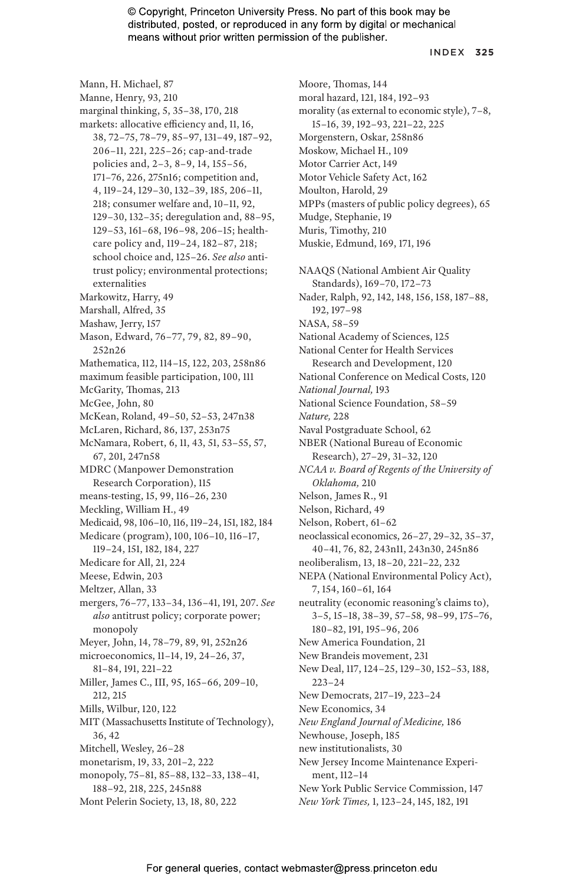#### INDEX **325**

Mann, H. Michael, 87 Manne, Henry, 93, 210 marginal thinking, 5, 35–38, 170, 218 markets: allocative efficiency and, 11, 16, 38, 72–75, 78–79, 85–97, 131–49, 187–92, 206–11, 221, 225–26; cap-and-trade policies and, 2–3, 8–9, 14, 155–56, 171–76, 226, 275n16; competition and, 4, 119–24, 129–30, 132–39, 185, 206–11, 218; consumer welfare and, 10–11, 92, 129–30, 132–35; deregulation and, 88–95, 129–53, 161–68, 196–98, 206–15; healthcare policy and, 119–24, 182–87, 218; school choice and, 125–26. *See also* antitrust policy; environmental protections; externalities Markowitz, Harry, 49 Marshall, Alfred, 35 Mashaw, Jerry, 157 Mason, Edward, 76–77, 79, 82, 89–90, 252n26 Mathematica, 112, 114–15, 122, 203, 258n86 maximum feasible participation, 100, 111 McGarity, Thomas, 213 McGee, John, 80 McKean, Roland, 49–50, 52–53, 247n38 McLaren, Richard, 86, 137, 253n75 McNamara, Robert, 6, 11, 43, 51, 53–55, 57, 67, 201, 247n58 MDRC (Manpower Demonstration Research Corporation), 115 means-testing, 15, 99, 116–26, 230 Meckling, William H., 49 Medicaid, 98, 106–10, 116, 119–24, 151, 182, 184 Medicare (program), 100, 106–10, 116–17, 119–24, 151, 182, 184, 227 Medicare for All, 21, 224 Meese, Edwin, 203 Meltzer, Allan, 33 mergers, 76–77, 133–34, 136–41, 191, 207. *See also* antitrust policy; corporate power; monopoly Meyer, John, 14, 78–79, 89, 91, 252n26 microeconomics, 11–14, 19, 24–26, 37, 81–84, 191, 221–22 Miller, James C., III, 95, 165–66, 209–10, 212, 215 Mills, Wilbur, 120, 122 MIT (Massachusetts Institute of Technology), 36, 42 Mitchell, Wesley, 26–28 monetarism, 19, 33, 201–2, 222 monopoly, 75–81, 85–88, 132–33, 138–41, 188–92, 218, 225, 245n88 Mont Pelerin Society, 13, 18, 80, 222

Moore, Thomas, 144 moral hazard, 121, 184, 192–93 morality (as external to economic style), 7–8, 15–16, 39, 192–93, 221–22, 225 Morgenstern, Oskar, 258n86 Moskow, Michael H., 109 Motor Carrier Act, 149 Motor Vehicle Safety Act, 162 Moulton, Harold, 29 MPPs (masters of public policy degrees), 65 Mudge, Stephanie, 19 Muris, Timothy, 210 Muskie, Edmund, 169, 171, 196 NAAQS (National Ambient Air Quality Standards), 169–70, 172–73 Nader, Ralph, 92, 142, 148, 156, 158, 187–88, 192, 197–98 NASA, 58–59 National Academy of Sciences, 125 National Center for Health Services Research and Development, 120 National Conference on Medical Costs, 120 *National Journal,* 193 National Science Foundation, 58–59 *Nature,* 228 Naval Postgraduate School, 62 NBER (National Bureau of Economic Research), 27–29, 31–32, 120 *NCAA v. Board of Regents of the University of Oklahoma,* 210 Nelson, James R., 91 Nelson, Richard, 49 Nelson, Robert, 61–62 neoclassical economics, 26–27, 29–32, 35–37, 40–41, 76, 82, 243n11, 243n30, 245n86 neoliberalism, 13, 18–20, 221–22, 232 NEPA (National Environmental Policy Act), 7, 154, 160–61, 164 neutrality (economic reasoning's claims to), 3–5, 15–18, 38–39, 57–58, 98–99, 175–76, 180–82, 191, 195–96, 206 New America Foundation, 21 New Brandeis movement, 231 New Deal, 117, 124–25, 129–30, 152–53, 188, 223–24 New Democrats, 217–19, 223–24 New Economics, 34 *New England Journal of Medicine,* 186 Newhouse, Joseph, 185 new institutionalists, 30 New Jersey Income Maintenance Experiment, 112–14

New York Public Service Commission, 147 *New York Times,* 1, 123–24, 145, 182, 191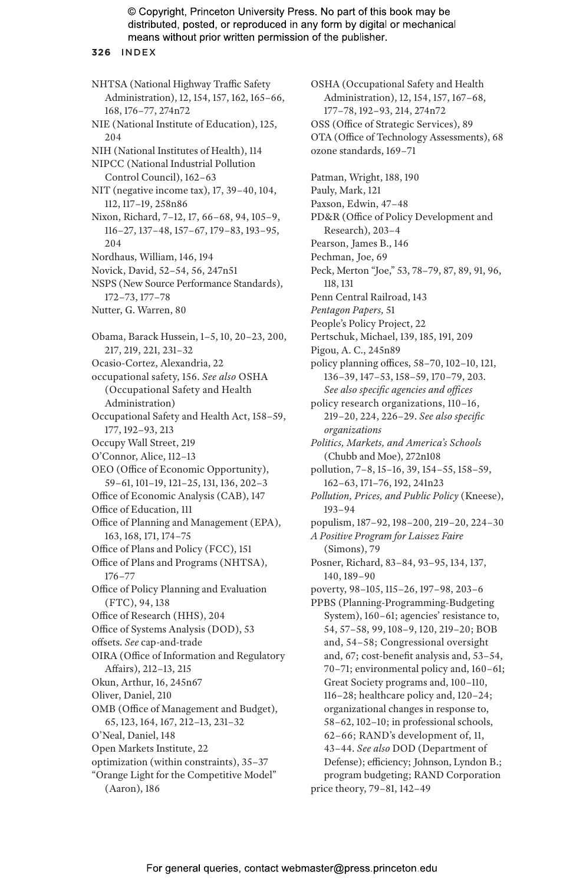**326** INDEX

NHTSA (National Highway Traffic Safety Administration), 12, 154, 157, 162, 165–66, 168, 176–77, 274n72 NIE (National Institute of Education), 125, 204 NIH (National Institutes of Health), 114 NIPCC (National Industrial Pollution Control Council), 162–63 NIT (negative income tax), 17, 39–40, 104, 112, 117–19, 258n86 Nixon, Richard, 7–12, 17, 66–68, 94, 105–9, 116–27, 137–48, 157–67, 179–83, 193–95, 204 Nordhaus, William, 146, 194 Novick, David, 52–54, 56, 247n51 NSPS (New Source Performance Standards), 172–73, 177–78 Nutter, G. Warren, 80 Obama, Barack Hussein, 1–5, 10, 20–23, 200, 217, 219, 221, 231–32 Ocasio-Cortez, Alexandria, 22 occupational safety, 156. *See also* OSHA (Occupational Safety and Health Administration) Occupational Safety and Health Act, 158–59, 177, 192–93, 213 Occupy Wall Street, 219 O'Connor, Alice, 112–13 OEO (Office of Economic Opportunity), 59–61, 101–19, 121–25, 131, 136, 202–3 Office of Economic Analysis (CAB), 147 Office of Education, 111 Office of Planning and Management (EPA), 163, 168, 171, 174–75 Office of Plans and Policy (FCC), 151 Office of Plans and Programs (NHTSA), 176–77 Office of Policy Planning and Evaluation (FTC), 94, 138 Office of Research (HHS), 204 Office of Systems Analysis (DOD), 53 offsets. *See* cap-and-trade OIRA (Office of Information and Regulatory Affairs), 212–13, 215 Okun, Arthur, 16, 245n67 Oliver, Daniel, 210 OMB (Office of Management and Budget), 65, 123, 164, 167, 212–13, 231–32 O'Neal, Daniel, 148 Open Markets Institute, 22 optimization (within constraints), 35–37 "Orange Light for the Competitive Model" (Aaron), 186

Administration), 12, 154, 157, 167–68, 177–78, 192–93, 214, 274n72 OSS (Office of Strategic Services), 89 OTA (Office of Technology Assessments), 68 ozone standards, 169–71 Patman, Wright, 188, 190 Pauly, Mark, 121 Paxson, Edwin, 47–48 PD&R (Office of Policy Development and Research), 203–4 Pearson, James B., 146 Pechman, Joe, 69 Peck, Merton "Joe," 53, 78–79, 87, 89, 91, 96, 118, 131 Penn Central Railroad, 143 *Pentagon Papers,* 51 People's Policy Project, 22 Pertschuk, Michael, 139, 185, 191, 209 Pigou, A. C., 245n89 policy planning offices, 58–70, 102–10, 121, 136–39, 147–53, 158–59, 170–79, 203. *See also specific agencies and offices* policy research organizations, 110–16, 219–20, 224, 226–29. *See also specific organizations Politics, Markets, and America's Schools* (Chubb and Moe), 272n108 pollution, 7–8, 15–16, 39, 154–55, 158–59, 162–63, 171–76, 192, 241n23 *Pollution, Prices, and Public Policy* (Kneese), 193–94 populism, 187–92, 198–200, 219–20, 224–30 *A Positive Program for Laissez Faire* (Simons), 79 Posner, Richard, 83–84, 93–95, 134, 137, 140, 189–90 poverty, 98–105, 115–26, 197–98, 203–6 PPBS (Planning-Programming-Budgeting System), 160–61; agencies' resistance to, 54, 57–58, 99, 108–9, 120, 219–20; BOB and, 54–58; Congressional oversight and, 67; cost-benefit analysis and, 53–54, 70–71; environmental policy and, 160–61; Great Society programs and, 100–110, 116–28; healthcare policy and, 120–24; organizational changes in response to, 58–62, 102–10; in professional schools, 62–66; RAND's development of, 11, 43–44. *See also* DOD (Department of Defense); efficiency; Johnson, Lyndon B.; program budgeting; RAND Corporation price theory, 79–81, 142–49

OSHA (Occupational Safety and Health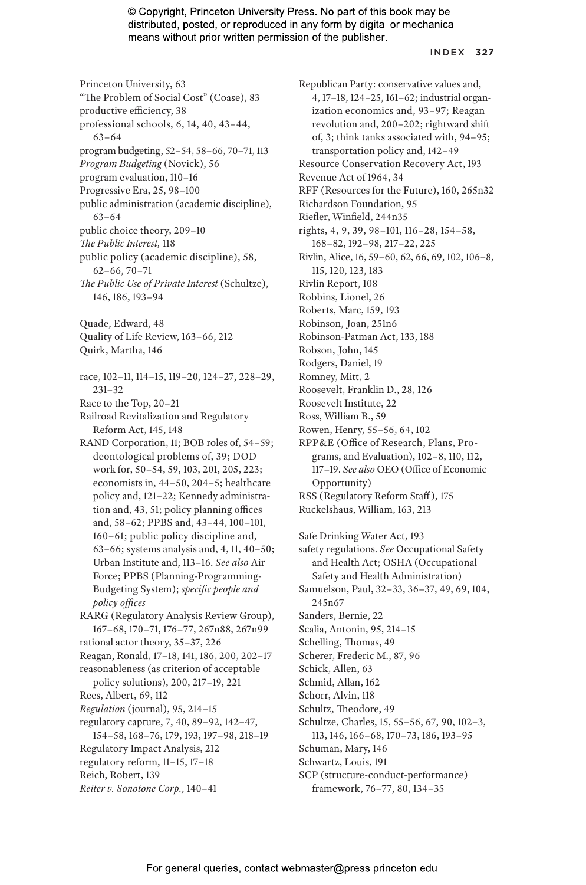#### INDEX **327**

Princeton University, 63 "The Problem of Social Cost" (Coase), 83 productive efficiency, 38 professional schools, 6, 14, 40, 43–44, 63–64 program budgeting, 52–54, 58–66, 70–71, 113 *Program Budgeting* (Novick), 56 program evaluation, 110–16 Progressive Era, 25, 98–100 public administration (academic discipline), 63–64 public choice theory, 209–10 *The Public Interest,* 118 public policy (academic discipline), 58, 62–66, 70–71 *The Public Use of Private Interest* (Schultze), 146, 186, 193–94 Quade, Edward, 48 Quality of Life Review, 163–66, 212 Quirk, Martha, 146 race, 102–11, 114–15, 119–20, 124–27, 228–29, 231–32 Race to the Top, 20–21 Railroad Revitalization and Regulatory Reform Act, 145, 148 RAND Corporation, 11; BOB roles of, 54–59; deontological problems of, 39; DOD work for, 50–54, 59, 103, 201, 205, 223; economists in, 44–50, 204–5; healthcare policy and, 121–22; Kennedy administration and, 43, 51; policy planning offices and, 58–62; PPBS and, 43–44, 100–101, 160–61; public policy discipline and, 63–66; systems analysis and, 4, 11, 40–50; Urban Institute and, 113–16. *See also* Air Force; PPBS (Planning-Programming-Budgeting System); *specific people and policy offices* RARG (Regulatory Analysis Review Group), 167–68, 170–71, 176–77, 267n88, 267n99 rational actor theory, 35–37, 226 Reagan, Ronald, 17–18, 141, 186, 200, 202–17 reasonableness (as criterion of acceptable policy solutions), 200, 217–19, 221 Rees, Albert, 69, 112 *Regulation* (journal), 95, 214–15 regulatory capture, 7, 40, 89–92, 142–47, 154–58, 168–76, 179, 193, 197–98, 218–19 Regulatory Impact Analysis, 212 regulatory reform, 11–15, 17–18 Reich, Robert, 139 *Reiter v. Sonotone Corp.,* 140–41

Republican Party: conservative values and, 4, 17–18, 124–25, 161–62; industrial organization economics and, 93–97; Reagan revolution and, 200–202; rightward shift of, 3; think tanks associated with, 94–95; transportation policy and, 142–49 Resource Conservation Recovery Act, 193 Revenue Act of 1964, 34 RFF (Resources for the Future), 160, 265n32 Richardson Foundation, 95 Riefler, Winfield, 244n35 rights, 4, 9, 39, 98–101, 116–28, 154–58, 168–82, 192–98, 217–22, 225 Rivlin, Alice, 16, 59–60, 62, 66, 69, 102, 106–8, 115, 120, 123, 183 Rivlin Report, 108 Robbins, Lionel, 26 Roberts, Marc, 159, 193 Robinson, Joan, 251n6 Robinson-Patman Act, 133, 188 Robson, John, 145 Rodgers, Daniel, 19 Romney, Mitt, 2 Roosevelt, Franklin D., 28, 126 Roosevelt Institute, 22 Ross, William B., 59 Rowen, Henry, 55–56, 64, 102 RPP&E (Office of Research, Plans, Programs, and Evaluation), 102–8, 110, 112, 117–19. *See also* OEO (Office of Economic Opportunity) RSS (Regulatory Reform Staff ), 175 Ruckelshaus, William, 163, 213 Safe Drinking Water Act, 193 safety regulations. *See* Occupational Safety and Health Act; OSHA (Occupational Safety and Health Administration) Samuelson, Paul, 32–33, 36–37, 49, 69, 104, 245n67 Sanders, Bernie, 22 Scalia, Antonin, 95, 214–15 Schelling, Thomas, 49 Scherer, Frederic M., 87, 96 Schick, Allen, 63 Schmid, Allan, 162 Schorr, Alvin, 118 Schultz, Theodore, 49 Schultze, Charles, 15, 55–56, 67, 90, 102–3, 113, 146, 166–68, 170–73, 186, 193–95 Schuman, Mary, 146 Schwartz, Louis, 191 SCP (structure-conduct-performance) framework, 76–77, 80, 134–35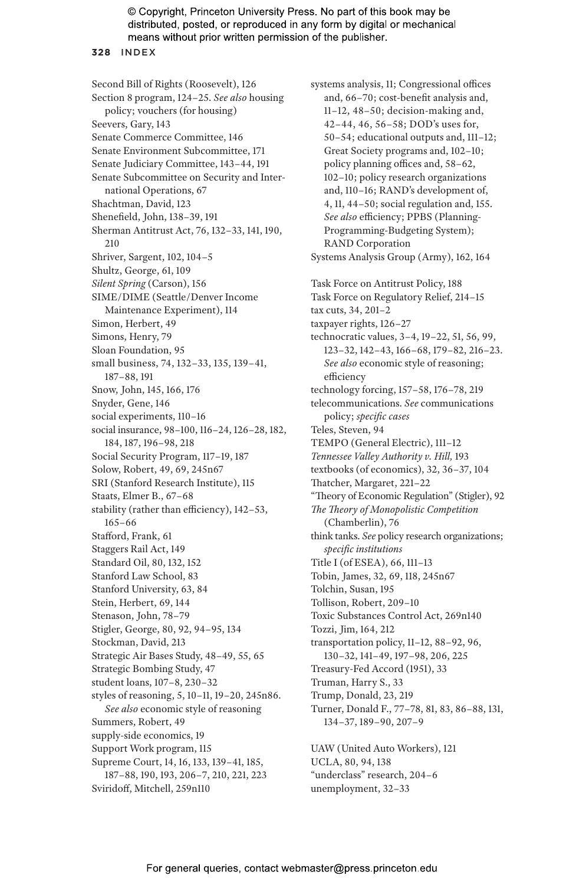#### **328** INDEX

Second Bill of Rights (Roosevelt), 126 Section 8 program, 124–25. *See also* housing policy; vouchers (for housing) Seevers, Gary, 143 Senate Commerce Committee, 146 Senate Environment Subcommittee, 171 Senate Judiciary Committee, 143–44, 191 Senate Subcommittee on Security and International Operations, 67 Shachtman, David, 123 Shenefield, John, 138–39, 191 Sherman Antitrust Act, 76, 132–33, 141, 190, 210 Shriver, Sargent, 102, 104–5 Shultz, George, 61, 109 *Silent Spring* (Carson), 156 SIME/DIME (Seattle/Denver Income Maintenance Experiment), 114 Simon, Herbert, 49 Simons, Henry, 79 Sloan Foundation, 95 small business, 74, 132–33, 135, 139–41, 187–88, 191 Snow, John, 145, 166, 176 Snyder, Gene, 146 social experiments, 110–16 social insurance, 98–100, 116–24, 126–28, 182, 184, 187, 196–98, 218 Social Security Program, 117–19, 187 Solow, Robert, 49, 69, 245n67 SRI (Stanford Research Institute), 115 Staats, Elmer B., 67–68 stability (rather than efficiency), 142–53, 165–66 Stafford, Frank, 61 Staggers Rail Act, 149 Standard Oil, 80, 132, 152 Stanford Law School, 83 Stanford University, 63, 84 Stein, Herbert, 69, 144 Stenason, John, 78–79 Stigler, George, 80, 92, 94–95, 134 Stockman, David, 213 Strategic Air Bases Study, 48–49, 55, 65 Strategic Bombing Study, 47 student loans, 107–8, 230–32 styles of reasoning, 5, 10–11, 19–20, 245n86. *See also* economic style of reasoning Summers, Robert, 49 supply-side economics, 19 Support Work program, 115 Supreme Court, 14, 16, 133, 139–41, 185, 187–88, 190, 193, 206–7, 210, 221, 223 Sviridoff, Mitchell, 259n110

systems analysis, 11; Congressional offices and, 66–70; cost-benefit analysis and, 11–12, 48–50; decision-making and, 42–44, 46, 56–58; DOD's uses for, 50–54; educational outputs and, 111–12; Great Society programs and, 102–10; policy planning offices and, 58–62, 102–10; policy research organizations and, 110–16; RAND's development of, 4, 11, 44–50; social regulation and, 155. *See also* efficiency; PPBS (Planning-Programming-Budgeting System); RAND Corporation Systems Analysis Group (Army), 162, 164 Task Force on Antitrust Policy, 188 Task Force on Regulatory Relief, 214–15 tax cuts, 34, 201–2 taxpayer rights, 126–27 technocratic values, 3–4, 19–22, 51, 56, 99, 123–32, 142–43, 166–68, 179–82, 216–23. *See also* economic style of reasoning; efficiency technology forcing, 157–58, 176–78, 219 telecommunications. *See* communications policy; *specific cases* Teles, Steven, 94 TEMPO (General Electric), 111–12 *Tennessee Valley Authority v. Hill,* 193 textbooks (of economics), 32, 36–37, 104 Thatcher, Margaret, 221–22 "Theory of Economic Regulation" (Stigler), 92 *The Theory of Monopolistic Competition* (Chamberlin), 76 think tanks. *See* policy research organizations; *specific institutions* Title I (of ESEA), 66, 111–13 Tobin, James, 32, 69, 118, 245n67 Tolchin, Susan, 195 Tollison, Robert, 209–10 Toxic Substances Control Act, 269n140 Tozzi, Jim, 164, 212 transportation policy, 11–12, 88–92, 96, 130–32, 141–49, 197–98, 206, 225 Treasury-Fed Accord (1951), 33 Truman, Harry S., 33 Trump, Donald, 23, 219 Turner, Donald F., 77–78, 81, 83, 86–88, 131, 134–37, 189–90, 207–9 UAW (United Auto Workers), 121 UCLA, 80, 94, 138 "underclass" research, 204–6

unemployment, 32–33